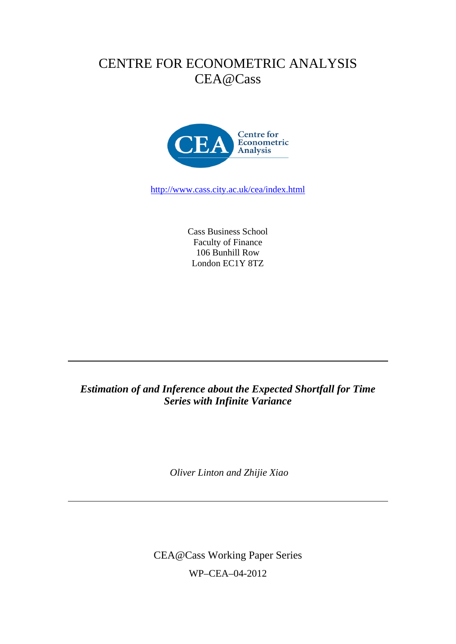# CENTRE FOR ECONOMETRIC ANALYSIS CEA@Cass



http://www.cass.city.ac.uk/cea/index.html

Cass Business School Faculty of Finance 106 Bunhill Row London EC1Y 8TZ

### *Estimation of and Inference about the Expected Shortfall for Time Series with Infinite Variance*

 *Oliver Linton and Zhijie Xiao* 

CEA@Cass Working Paper Series WP–CEA–04-2012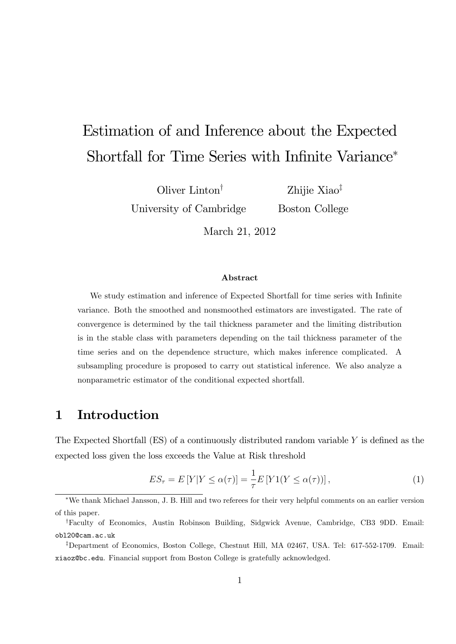# Estimation of and Inference about the Expected Shortfall for Time Series with Infinite Variance<sup>\*</sup>

Oliver Linton<sup> $\dagger$ </sup> University of Cambridge

Zhijie Xiao<sup>‡</sup> Boston College

March 21, 2012

#### Abstract

We study estimation and inference of Expected Shortfall for time series with Infinite variance. Both the smoothed and nonsmoothed estimators are investigated. The rate of convergence is determined by the tail thickness parameter and the limiting distribution is in the stable class with parameters depending on the tail thickness parameter of the time series and on the dependence structure, which makes inference complicated. A subsampling procedure is proposed to carry out statistical inference. We also analyze a nonparametric estimator of the conditional expected shortfall.

### 1 Introduction

The Expected Shortfall  $(ES)$  of a continuously distributed random variable Y is defined as the expected loss given the loss exceeds the Value at Risk threshold

$$
ES_{\tau} = E[Y|Y \le \alpha(\tau)] = \frac{1}{\tau}E[Y1(Y \le \alpha(\tau))], \tag{1}
$$

We thank Michael Jansson, J. B. Hill and two referees for their very helpful comments on an earlier version of this paper.

<sup>&</sup>lt;sup>†</sup>Faculty of Economics, Austin Robinson Building, Sidgwick Avenue, Cambridge, CB3 9DD. Email: obl20@cam.ac.uk

<sup>&</sup>lt;sup>‡</sup>Department of Economics, Boston College, Chestnut Hill, MA 02467, USA. Tel: 617-552-1709. Email: xiaoz@bc.edu. Financial support from Boston College is gratefully acknowledged.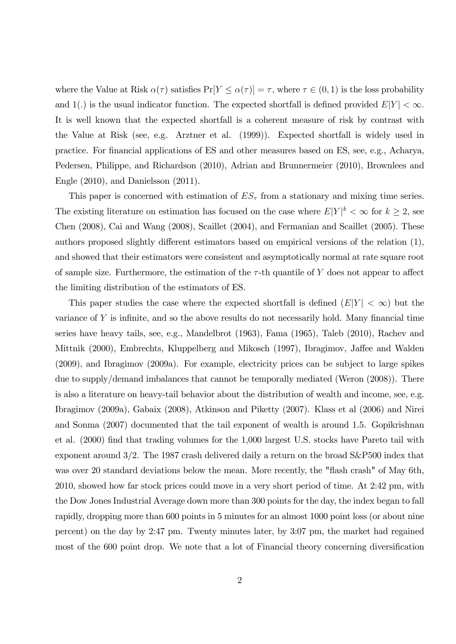where the Value at Risk  $\alpha(\tau)$  satisfies  $Pr[Y \leq \alpha(\tau)] = \tau$ , where  $\tau \in (0, 1)$  is the loss probability and 1(.) is the usual indicator function. The expected shortfall is defined provided  $E[Y] < \infty$ . It is well known that the expected shortfall is a coherent measure of risk by contrast with the Value at Risk (see, e.g. Arztner et al. (1999)). Expected shortfall is widely used in practice. For financial applications of ES and other measures based on ES, see, e.g., Acharya, Pedersen, Philippe, and Richardson (2010), Adrian and Brunnermeier (2010), Brownlees and Engle (2010), and Danielsson (2011).

This paper is concerned with estimation of  $ES_{\tau}$  from a stationary and mixing time series. The existing literature on estimation has focused on the case where  $E|Y|^k < \infty$  for  $k \geq 2$ , see Chen (2008), Cai and Wang (2008), Scaillet (2004), and Fermanian and Scaillet (2005): These authors proposed slightly different estimators based on empirical versions of the relation  $(1)$ , and showed that their estimators were consistent and asymptotically normal at rate square root of sample size. Furthermore, the estimation of the  $\tau$ -th quantile of Y does not appear to affect the limiting distribution of the estimators of ES.

This paper studies the case where the expected shortfall is defined  $(E|Y| < \infty)$  but the variance of  $Y$  is infinite, and so the above results do not necessarily hold. Many financial time series have heavy tails, see, e.g., Mandelbrot (1963), Fama (1965), Taleb (2010), Rachev and Mittnik (2000), Embrechts, Kluppelberg and Mikosch (1997), Ibragimov, Jaffee and Walden (2009), and Ibragimov (2009a). For example, electricity prices can be subject to large spikes due to supply/demand imbalances that cannot be temporally mediated (Weron (2008)). There is also a literature on heavy-tail behavior about the distribution of wealth and income, see, e.g. Ibragimov (2009a), Gabaix (2008), Atkinson and Piketty (2007). Klass et al (2006) and Nirei and Sonma (2007) documented that the tail exponent of wealth is around 1.5. Gopikrishnan et al. (2000) find that trading volumes for the 1,000 largest U.S. stocks have Pareto tail with exponent around 3/2. The 1987 crash delivered daily a return on the broad S&P500 index that was over 20 standard deviations below the mean. More recently, the "flash crash" of May 6th, 2010, showed how far stock prices could move in a very short period of time. At 2:42 pm, with the Dow Jones Industrial Average down more than 300 points for the day, the index began to fall rapidly, dropping more than 600 points in 5 minutes for an almost 1000 point loss (or about nine percent) on the day by 2:47 pm. Twenty minutes later, by 3:07 pm, the market had regained most of the 600 point drop. We note that a lot of Financial theory concerning diversification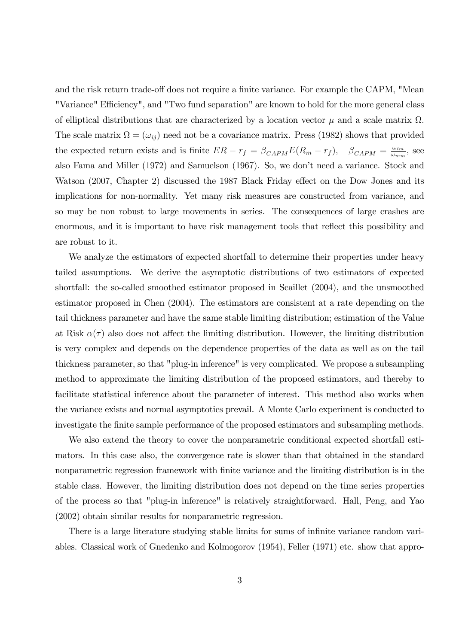and the risk return trade-off does not require a finite variance. For example the CAPM, "Mean "Variance" Efficiency", and "Two fund separation" are known to hold for the more general class of elliptical distributions that are characterized by a location vector  $\mu$  and a scale matrix  $\Omega$ . The scale matrix  $\Omega = (\omega_{ij})$  need not be a covariance matrix. Press (1982) shows that provided the expected return exists and is finite  $ER - r_f = \beta_{CAPM} E(R_m - r_f)$ ,  $\beta_{CAPM} = \frac{\omega_{im}}{\omega_{mn}}$  $\frac{\omega_{im}}{\omega_{mm}}$ , see also Fama and Miller (1972) and Samuelson (1967). So, we don't need a variance. Stock and Watson (2007, Chapter 2) discussed the 1987 Black Friday effect on the Dow Jones and its implications for non-normality. Yet many risk measures are constructed from variance, and so may be non robust to large movements in series. The consequences of large crashes are enormous, and it is important to have risk management tools that reflect this possibility and are robust to it.

We analyze the estimators of expected shortfall to determine their properties under heavy tailed assumptions. We derive the asymptotic distributions of two estimators of expected shortfall: the so-called smoothed estimator proposed in Scaillet (2004), and the unsmoothed estimator proposed in Chen (2004). The estimators are consistent at a rate depending on the tail thickness parameter and have the same stable limiting distribution; estimation of the Value at Risk  $\alpha(\tau)$  also does not affect the limiting distribution. However, the limiting distribution is very complex and depends on the dependence properties of the data as well as on the tail thickness parameter, so that "plug-in inference" is very complicated. We propose a subsampling method to approximate the limiting distribution of the proposed estimators, and thereby to facilitate statistical inference about the parameter of interest. This method also works when the variance exists and normal asymptotics prevail. A Monte Carlo experiment is conducted to investigate the finite sample performance of the proposed estimators and subsampling methods.

We also extend the theory to cover the nonparametric conditional expected shortfall estimators. In this case also, the convergence rate is slower than that obtained in the standard nonparametric regression framework with finite variance and the limiting distribution is in the stable class. However, the limiting distribution does not depend on the time series properties of the process so that "plug-in inference" is relatively straightforward. Hall, Peng, and Yao (2002) obtain similar results for nonparametric regression.

There is a large literature studying stable limits for sums of infinite variance random variables. Classical work of Gnedenko and Kolmogorov (1954), Feller (1971) etc. show that appro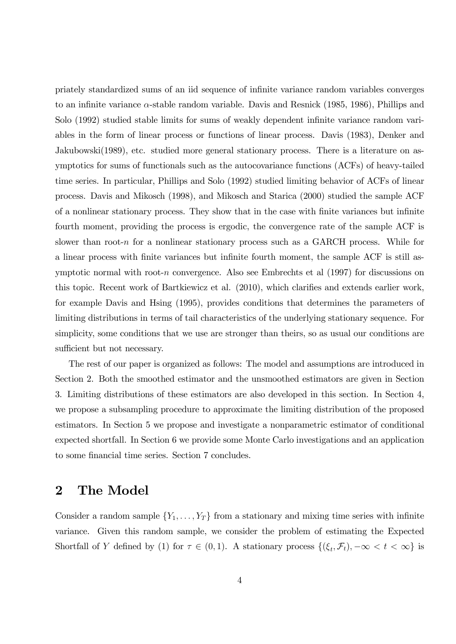priately standardized sums of an iid sequence of inÖnite variance random variables converges to an infinite variance  $\alpha$ -stable random variable. Davis and Resnick (1985, 1986), Phillips and Solo (1992) studied stable limits for sums of weakly dependent infinite variance random variables in the form of linear process or functions of linear process. Davis (1983), Denker and Jakubowski(1989), etc. studied more general stationary process. There is a literature on asymptotics for sums of functionals such as the autocovariance functions (ACFs) of heavy-tailed time series. In particular, Phillips and Solo (1992) studied limiting behavior of ACFs of linear process. Davis and Mikosch (1998), and Mikosch and Starica (2000) studied the sample ACF of a nonlinear stationary process. They show that in the case with finite variances but infinite fourth moment, providing the process is ergodic, the convergence rate of the sample ACF is slower than root-n for a nonlinear stationary process such as a GARCH process. While for a linear process with finite variances but infinite fourth moment, the sample ACF is still asymptotic normal with root-n convergence. Also see Embrechts et al  $(1997)$  for discussions on this topic. Recent work of Bartkiewicz et al. (2010), which clarifies and extends earlier work, for example Davis and Hsing (1995), provides conditions that determines the parameters of limiting distributions in terms of tail characteristics of the underlying stationary sequence. For simplicity, some conditions that we use are stronger than theirs, so as usual our conditions are sufficient but not necessary.

The rest of our paper is organized as follows: The model and assumptions are introduced in Section 2. Both the smoothed estimator and the unsmoothed estimators are given in Section 3. Limiting distributions of these estimators are also developed in this section. In Section 4, we propose a subsampling procedure to approximate the limiting distribution of the proposed estimators. In Section 5 we propose and investigate a nonparametric estimator of conditional expected shortfall. In Section 6 we provide some Monte Carlo investigations and an application to some financial time series. Section 7 concludes.

### 2 The Model

Consider a random sample  $\{Y_1, \ldots, Y_T\}$  from a stationary and mixing time series with infinite variance. Given this random sample, we consider the problem of estimating the Expected Shortfall of Y defined by (1) for  $\tau \in (0,1)$ . A stationary process  $\{(\xi_t, \mathcal{F}_t), -\infty < t < \infty\}$  is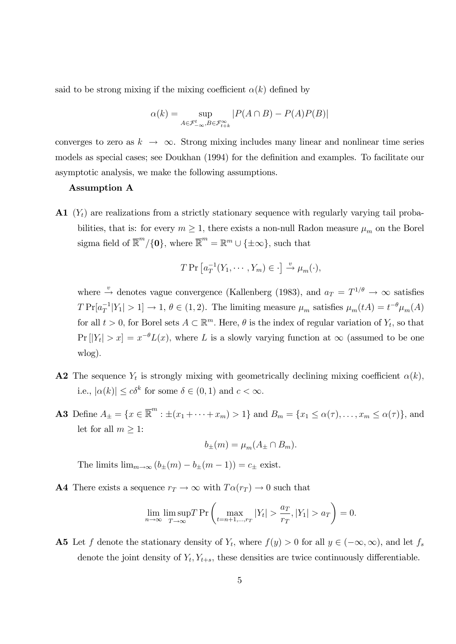said to be strong mixing if the mixing coefficient  $\alpha(k)$  defined by

$$
\alpha(k) = \sup_{A \in \mathcal{F}_{-\infty}^t, B \in \mathcal{F}_{t+k}^{\infty}} |P(A \cap B) - P(A)P(B)|
$$

converges to zero as  $k \to \infty$ . Strong mixing includes many linear and nonlinear time series models as special cases; see Doukhan (1994) for the definition and examples. To facilitate our asymptotic analysis, we make the following assumptions.

#### Assumption A

 $\mathbf{A1}$  (Y<sub>t</sub>) are realizations from a strictly stationary sequence with regularly varying tail probabilities, that is: for every  $m \ge 1$ , there exists a non-null Radon measure  $\mu_m$  on the Borel sigma field of  $\overline{\mathbb{R}}^m / \{0\}$ , where  $\overline{\mathbb{R}}^m = \mathbb{R}^m \cup \{\pm \infty\}$ , such that

$$
T \Pr \left[ a_T^{-1}(Y_1, \cdots, Y_m) \in \cdot \right] \xrightarrow{\upsilon} \mu_m(\cdot),
$$

where  $\stackrel{v}{\rightarrow}$  denotes vague convergence (Kallenberg (1983), and  $a_T = T^{1/\theta} \rightarrow \infty$  satisfies  $T \Pr[a_T^{-1}|Y_1| > 1] \to 1, \ \theta \in (1, 2)$ . The limiting measure  $\mu_m$  satisfies  $\mu_m(tA) = t^{-\theta} \mu_m(A)$ for all  $t > 0$ , for Borel sets  $A \subset \mathbb{R}^m$ . Here,  $\theta$  is the index of regular variation of  $Y_t$ , so that  $Pr[|Y_t| > x] = x^{-\theta} L(x)$ , where L is a slowly varying function at  $\infty$  (assumed to be one wlog):

- **A2** The sequence  $Y_t$  is strongly mixing with geometrically declining mixing coefficient  $\alpha(k)$ , i.e.,  $|\alpha(k)| \le c\delta^k$  for some  $\delta \in (0,1)$  and  $c < \infty$ .
- **A3** Define  $A_{\pm} = \{x \in \overline{\mathbb{R}}^m : \pm (x_1 + \cdots + x_m) > 1\}$  and  $B_m = \{x_1 \leq \alpha(\tau), \ldots, x_m \leq \alpha(\tau)\}\)$ , and let for all  $m \geq 1$ :

$$
b_{\pm}(m) = \mu_m(A_{\pm} \cap B_m).
$$

The limits  $\lim_{m \to \infty} (b_{+}(m) - b_{+}(m - 1)) = c_{+}$  exist.

**A4** There exists a sequence  $r_T \to \infty$  with  $T\alpha(r_T) \to 0$  such that

$$
\lim_{n \to \infty} \limsup_{T \to \infty} T \Pr \left( \max_{t=n+1,\dots,r_T} |Y_t| > \frac{a_T}{r_T}, |Y_1| > a_T \right) = 0.
$$

**A5** Let f denote the stationary density of  $Y_t$ , where  $f(y) > 0$  for all  $y \in (-\infty, \infty)$ , and let  $f_s$ denote the joint density of  $Y_t, Y_{t+s}$ , these densities are twice continuously differentiable.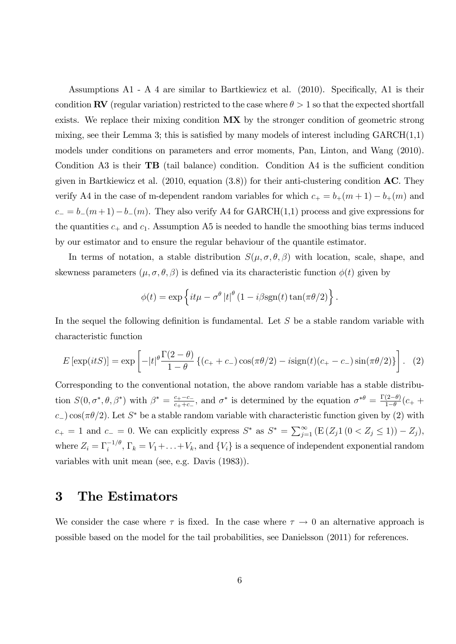Assumptions  $A1 - A4$  are similar to Bartkiewicz et al. (2010). Specifically,  $A1$  is their condition RV (regular variation) restricted to the case where  $\theta > 1$  so that the expected shortfall exists. We replace their mixing condition  $MX$  by the stronger condition of geometric strong mixing, see their Lemma 3; this is satisfied by many models of interest including  $GARCH(1,1)$ models under conditions on parameters and error moments, Pan, Linton, and Wang (2010). Condition A3 is their  $\mathbf{T} \mathbf{B}$  (tail balance) condition. Condition A4 is the sufficient condition given in Bartkiewicz et al.  $(2010, \text{ equation } (3.8))$  for their anti-clustering condition **AC**. They verify A4 in the case of m-dependent random variables for which  $c_+ = b_+(m+1) - b_+(m)$  and  $c_- = b_-(m + 1)-b_-(m)$ . They also verify A4 for GARCH(1,1) process and give expressions for the quantities  $c_+$  and  $c_1$ . Assumption A5 is needed to handle the smoothing bias terms induced by our estimator and to ensure the regular behaviour of the quantile estimator.

In terms of notation, a stable distribution  $S(\mu, \sigma, \theta, \beta)$  with location, scale, shape, and skewness parameters  $(\mu, \sigma, \theta, \beta)$  is defined via its characteristic function  $\phi(t)$  given by

$$
\phi(t) = \exp\left\{it\mu - \sigma^{\theta} |t|^{\theta} (1 - i\beta \text{sgn}(t) \tan(\pi \theta/2)\right\}.
$$

In the sequel the following definition is fundamental. Let  $S$  be a stable random variable with characteristic function

$$
E\left[\exp(itS)\right] = \exp\left[-|t|^{\theta}\frac{\Gamma(2-\theta)}{1-\theta}\left\{(c_+ + c_-)\cos(\pi\theta/2) - i\text{sign}(t)(c_+ - c_-)\sin(\pi\theta/2)\right\}\right].
$$
 (2)

Corresponding to the conventional notation, the above random variable has a stable distribution  $S(0, \sigma^*, \theta, \beta^*)$  with  $\beta^* = \frac{c_+ - c_-}{c_+ + c_-}$  $\frac{c_+ - c_-}{c_+ + c_-}$ , and  $\sigma^*$  is determined by the equation  $\sigma^{*\theta} = \frac{\Gamma(2-\theta)}{1-\theta}$  $\frac{(2-\theta)}{1-\theta}(c_{+} +$  $c_{-}$ ) cos( $\pi\theta/2$ ). Let  $S^*$  be a stable random variable with characteristic function given by (2) with  $c_+ = 1$  and  $c_- = 0$ . We can explicitly express  $S^*$  as  $S^* = \sum_{j=1}^{\infty} (E(Z_j 1 (0 < Z_j \le 1)) - Z_j)$ , where  $Z_i = \Gamma_i^{-1/\theta}, \Gamma_k = V_1 + \ldots + V_k$ , and  $\{V_i\}$  is a sequence of independent exponential random variables with unit mean (see, e.g. Davis (1983)).

### 3 The Estimators

We consider the case where  $\tau$  is fixed. In the case where  $\tau \to 0$  an alternative approach is possible based on the model for the tail probabilities, see Danielsson (2011) for references.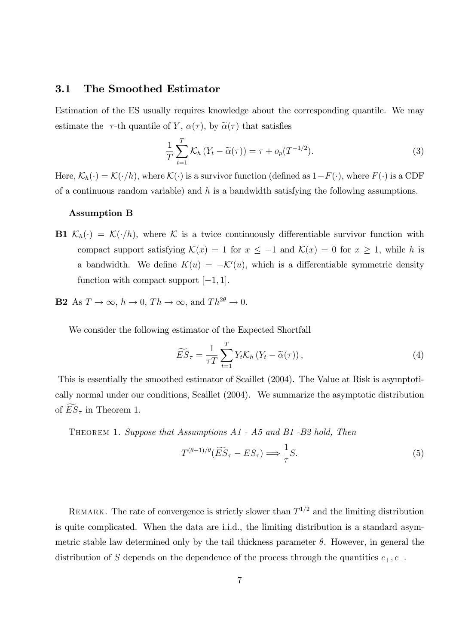#### 3.1 The Smoothed Estimator

Estimation of the ES usually requires knowledge about the corresponding quantile. We may estimate the  $\tau$ -th quantile of Y,  $\alpha(\tau)$ , by  $\tilde{\alpha}(\tau)$  that satisfies

$$
\frac{1}{T} \sum_{t=1}^{T} \mathcal{K}_h \left( Y_t - \widetilde{\alpha}(\tau) \right) = \tau + o_p(T^{-1/2}). \tag{3}
$$

Here,  $\mathcal{K}_h(\cdot) = \mathcal{K}(\cdot/h)$ , where  $\mathcal{K}(\cdot)$  is a survivor function (defined as  $1-F(\cdot)$ , where  $F(\cdot)$  is a CDF of a continuous random variable) and  $h$  is a bandwidth satisfying the following assumptions.

#### Assumption B

- **B1**  $\mathcal{K}_h(\cdot) = \mathcal{K}(\cdot/h)$ , where  $\mathcal K$  is a twice continuously differentiable survivor function with compact support satisfying  $\mathcal{K}(x) = 1$  for  $x \le -1$  and  $\mathcal{K}(x) = 0$  for  $x \ge 1$ , while h is a bandwidth. We define  $K(u) = -\mathcal{K}'(u)$ , which is a differentiable symmetric density function with compact support  $[-1, 1]$ .
- **B2** As  $T \to \infty$ ,  $h \to 0$ ,  $Th \to \infty$ , and  $Th^{2\theta} \to 0$ .

We consider the following estimator of the Expected Shortfall

$$
\widetilde{ES}_{\tau} = \frac{1}{\tau T} \sum_{t=1}^{T} Y_t \mathcal{K}_h \left( Y_t - \widetilde{\alpha}(\tau) \right), \tag{4}
$$

This is essentially the smoothed estimator of Scaillet (2004). The Value at Risk is asymptotically normal under our conditions, Scaillet (2004). We summarize the asymptotic distribution of  $ES_{\tau}$  in Theorem 1.

Theorem 1. Suppose that Assumptions A1 - A5 and B1 -B2 hold, Then

$$
T^{(\theta-1)/\theta}(\widetilde{ES}_{\tau} - ES_{\tau}) \Longrightarrow \frac{1}{\tau}S. \tag{5}
$$

REMARK. The rate of convergence is strictly slower than  $T^{1/2}$  and the limiting distribution is quite complicated. When the data are i.i.d., the limiting distribution is a standard asymmetric stable law determined only by the tail thickness parameter  $\theta$ . However, in general the distribution of S depends on the dependence of the process through the quantities  $c_+, c_-$ .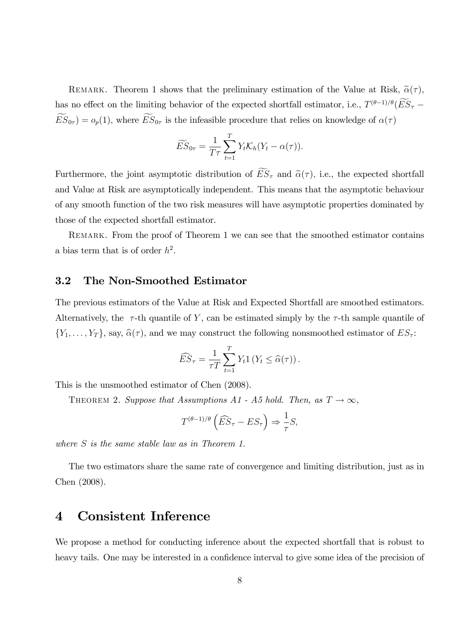REMARK. Theorem 1 shows that the preliminary estimation of the Value at Risk,  $\tilde{\alpha}(\tau)$ , has no effect on the limiting behavior of the expected shortfall estimator, i.e.,  $T^{(\theta-1)/\theta}(ES_{\tau} \widetilde{ES}_{0\tau}$  =  $o_p(1)$ , where  $\widetilde{ES}_{0\tau}$  is the infeasible procedure that relies on knowledge of  $\alpha(\tau)$ 

$$
\widetilde{ES}_{0\tau} = \frac{1}{T\tau} \sum_{t=1}^{T} Y_t \mathcal{K}_h(Y_t - \alpha(\tau)).
$$

Furthermore, the joint asymptotic distribution of  $\widetilde{ES}_{\tau}$  and  $\widetilde{\alpha}(\tau)$ , i.e., the expected shortfall and Value at Risk are asymptotically independent. This means that the asymptotic behaviour of any smooth function of the two risk measures will have asymptotic properties dominated by those of the expected shortfall estimator.

REMARK. From the proof of Theorem 1 we can see that the smoothed estimator contains a bias term that is of order  $h^2$ .

### 3.2 The Non-Smoothed Estimator

The previous estimators of the Value at Risk and Expected Shortfall are smoothed estimators. Alternatively, the  $\tau$ -th quantile of Y, can be estimated simply by the  $\tau$ -th sample quantile of  $\{Y_1,\ldots,Y_T\}$ , say,  $\widehat{\alpha}(\tau)$ , and we may construct the following nonsmoothed estimator of  $ES_{\tau}$ :

$$
\widehat{ES}_{\tau} = \frac{1}{\tau T} \sum_{t=1}^{T} Y_t 1 \left( Y_t \leq \widehat{\alpha}(\tau) \right).
$$

This is the unsmoothed estimator of Chen (2008).

THEOREM 2. Suppose that Assumptions A1 - A5 hold. Then, as  $T \to \infty$ ,

$$
T^{(\theta-1)/\theta}\left(\widehat{ES}_{\tau}-ES_{\tau}\right) \Rightarrow \frac{1}{\tau}S,
$$

where S is the same stable law as in Theorem 1.

The two estimators share the same rate of convergence and limiting distribution, just as in Chen (2008).

## 4 Consistent Inference

We propose a method for conducting inference about the expected shortfall that is robust to heavy tails. One may be interested in a confidence interval to give some idea of the precision of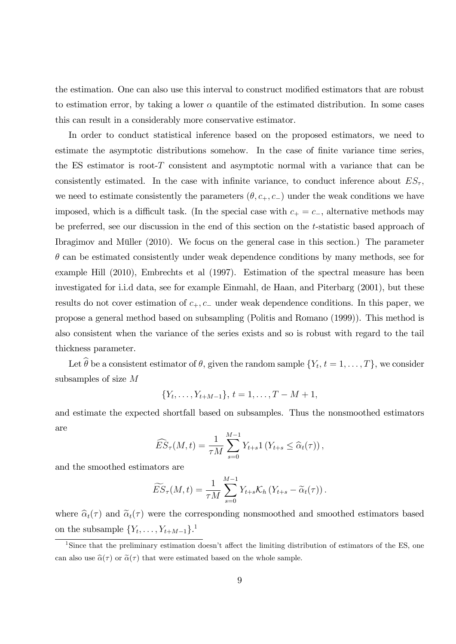the estimation. One can also use this interval to construct modified estimators that are robust to estimation error, by taking a lower  $\alpha$  quantile of the estimated distribution. In some cases this can result in a considerably more conservative estimator.

In order to conduct statistical inference based on the proposed estimators, we need to estimate the asymptotic distributions somehow. In the case of finite variance time series, the ES estimator is root-T consistent and asymptotic normal with a variance that can be consistently estimated. In the case with infinite variance, to conduct inference about  $ES<sub>\tau</sub>$ , we need to estimate consistently the parameters  $(\theta, c_+, c_-)$  under the weak conditions we have imposed, which is a difficult task. (In the special case with  $c_+ = c_-$ , alternative methods may be preferred, see our discussion in the end of this section on the t-statistic based approach of Ibragimov and Müller  $(2010)$ . We focus on the general case in this section.) The parameter  $\theta$  can be estimated consistently under weak dependence conditions by many methods, see for example Hill (2010), Embrechts et al (1997). Estimation of the spectral measure has been investigated for i.i.d data, see for example Einmahl, de Haan, and Piterbarg (2001), but these results do not cover estimation of  $c_+, c_-$  under weak dependence conditions. In this paper, we propose a general method based on subsampling (Politis and Romano (1999)). This method is also consistent when the variance of the series exists and so is robust with regard to the tail thickness parameter.

Let  $\theta$  be a consistent estimator of  $\theta$ , given the random sample  $\{Y_t, t = 1, \ldots, T\}$ , we consider subsamples of size M

$$
\{Y_t, \ldots, Y_{t+M-1}\}, t = 1, \ldots, T-M+1,
$$

and estimate the expected shortfall based on subsamples. Thus the nonsmoothed estimators are

$$
\widehat{ES}_{\tau}(M,t) = \frac{1}{\tau M} \sum_{s=0}^{M-1} Y_{t+s} 1 \left( Y_{t+s} \leq \widehat{\alpha}_t(\tau) \right),
$$

and the smoothed estimators are

$$
\widetilde{ES}_{\tau}(M,t) = \frac{1}{\tau M} \sum_{s=0}^{M-1} Y_{t+s} \mathcal{K}_h \left( Y_{t+s} - \widetilde{\alpha}_t(\tau) \right).
$$

where  $\hat{\alpha}_t(\tau)$  and  $\tilde{\alpha}_t(\tau)$  were the corresponding nonsmoothed and smoothed estimators based on the subsample  $\{Y_t, \ldots, Y_{t+M-1}\}$ <sup>1</sup>

<sup>&</sup>lt;sup>1</sup>Since that the preliminary estimation doesn't affect the limiting distribution of estimators of the ES, one can also use  $\hat{\alpha}(\tau)$  or  $\tilde{\alpha}(\tau)$  that were estimated based on the whole sample.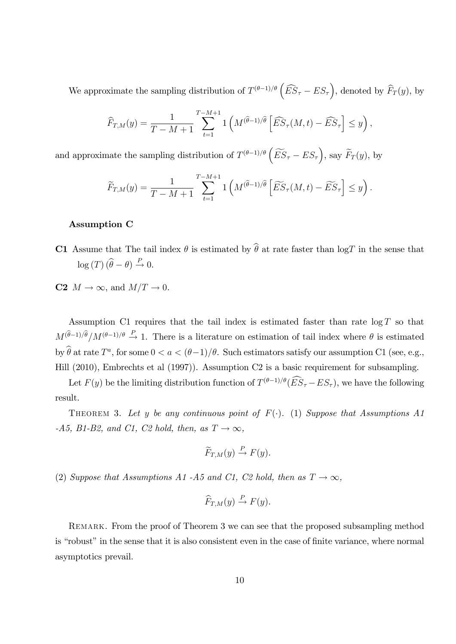We approximate the sampling distribution of  $T^{(\theta-1)/\theta} \left( \widehat{ES}_{\tau} - ES_{\tau} \right)$ , denoted by  $\widehat{F}_T(y)$ , by

$$
\widehat{F}_{T,M}(y) = \frac{1}{T-M+1} \sum_{t=1}^{T-M+1} 1\left(M^{(\widehat{\theta}-1)/\widehat{\theta}}\left[\widehat{ES}_{\tau}(M,t) - \widehat{ES}_{\tau}\right] \leq y\right),
$$

and approximate the sampling distribution of  $T^{(\theta-1)/\theta} \left( \widetilde{ES}_{\tau} - ES_{\tau} \right)$ , say  $\widetilde{F}_T(y)$ , by

$$
\widetilde{F}_{T,M}(y) = \frac{1}{T-M+1} \sum_{t=1}^{T-M+1} \mathbb{1}\left(M^{(\widehat{\theta}-1)/\widehat{\theta}}\left[\widetilde{ES}_{\tau}(M,t)-\widetilde{ES}_{\tau}\right] \leq y\right).
$$

#### Assumption C

- C1 Assume that The tail index  $\theta$  is estimated by  $\hat{\theta}$  at rate faster than logT in the sense that  $log(T) (\widehat{\theta} - \theta) \stackrel{P}{\rightarrow} 0.$
- C2  $M \to \infty$ , and  $M/T \to 0$ .

Assumption C1 requires that the tail index is estimated faster than rate  $\log T$  so that  $M^{(\hat{\theta}-1)/\hat{\theta}}/M^{(\theta-1)/\theta} \stackrel{P}{\rightarrow} 1$ . There is a literature on estimation of tail index where  $\theta$  is estimated by  $\theta$  at rate  $T^a$ , for some  $0 < a < (\theta - 1)/\theta$ . Such estimators satisfy our assumption C1 (see, e.g., Hill (2010), Embrechts et al (1997)). Assumption C2 is a basic requirement for subsampling.

Let  $F(y)$  be the limiting distribution function of  $T^{(\theta-1)/\theta}$   $(E\ddot{S}_{\tau} - ES_{\tau})$ , we have the following result.

THEOREM 3. Let y be any continuous point of  $F(\cdot)$ . (1) Suppose that Assumptions A1 -A5, B1-B2, and C1, C2 hold, then, as  $T \rightarrow \infty$ ,

$$
\widetilde{F}_{T,M}(y) \stackrel{P}{\to} F(y).
$$

(2) Suppose that Assumptions A1-A5 and C1, C2 hold, then as  $T \to \infty$ ,

$$
\widehat{F}_{T,M}(y) \stackrel{P}{\to} F(y).
$$

Remark. From the proof of Theorem 3 we can see that the proposed subsampling method is "robust" in the sense that it is also consistent even in the case of finite variance, where normal asymptotics prevail.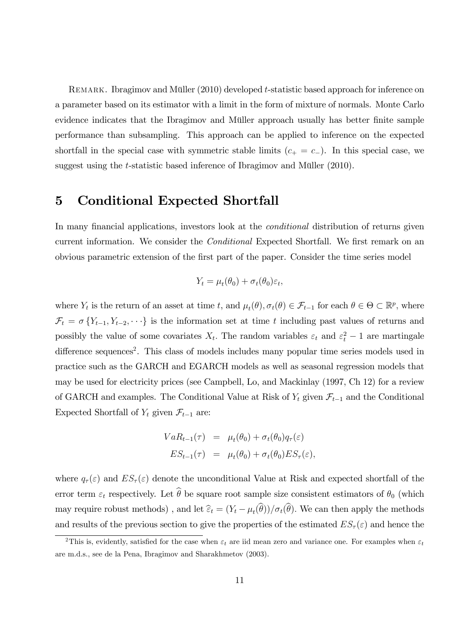REMARK. Ibragimov and Müller (2010) developed t-statistic based approach for inference on a parameter based on its estimator with a limit in the form of mixture of normals. Monte Carlo evidence indicates that the Ibragimov and Müller approach usually has better finite sample performance than subsampling. This approach can be applied to inference on the expected shortfall in the special case with symmetric stable limits  $(c_{+} = c_{-})$ . In this special case, we suggest using the  $t$ -statistic based inference of Ibragimov and Müller  $(2010)$ .

# 5 Conditional Expected Shortfall

In many financial applications, investors look at the *conditional* distribution of returns given current information. We consider the *Conditional* Expected Shortfall. We first remark on an obvious parametric extension of the Örst part of the paper. Consider the time series model

$$
Y_t = \mu_t(\theta_0) + \sigma_t(\theta_0)\varepsilon_t,
$$

where  $Y_t$  is the return of an asset at time t, and  $\mu_t(\theta), \sigma_t(\theta) \in \mathcal{F}_{t-1}$  for each  $\theta \in \Theta \subset \mathbb{R}^p$ , where  $\mathcal{F}_t = \sigma \{Y_{t-1}, Y_{t-2}, \dots\}$  is the information set at time t including past values of returns and possibly the value of some covariates  $X_t$ . The random variables  $\varepsilon_t$  and  $\varepsilon_t^2 - 1$  are martingale difference sequences<sup>2</sup>. This class of models includes many popular time series models used in practice such as the GARCH and EGARCH models as well as seasonal regression models that may be used for electricity prices (see Campbell, Lo, and Mackinlay (1997, Ch 12) for a review of GARCH and examples. The Conditional Value at Risk of  $Y_t$  given  $\mathcal{F}_{t-1}$  and the Conditional Expected Shortfall of  $Y_t$  given  $\mathcal{F}_{t-1}$  are:

$$
VaR_{t-1}(\tau) = \mu_t(\theta_0) + \sigma_t(\theta_0)q_\tau(\varepsilon)
$$
  

$$
ES_{t-1}(\tau) = \mu_t(\theta_0) + \sigma_t(\theta_0)ES_\tau(\varepsilon),
$$

where  $q_{\tau}(\varepsilon)$  and  $ES_{\tau}(\varepsilon)$  denote the unconditional Value at Risk and expected shortfall of the error term  $\varepsilon_t$  respectively. Let  $\widehat{\theta}$  be square root sample size consistent estimators of  $\theta_0$  (which may require robust methods), and let  $\hat{\epsilon}_t = (Y_t - \mu_t(\theta))/\sigma_t(\theta)$ . We can then apply the methods and results of the previous section to give the properties of the estimated  $ES_\tau(\varepsilon)$  and hence the

<sup>&</sup>lt;sup>2</sup>This is, evidently, satisfied for the case when  $\varepsilon_t$  are iid mean zero and variance one. For examples when  $\varepsilon_t$ are m.d.s., see de la Pena, Ibragimov and Sharakhmetov (2003).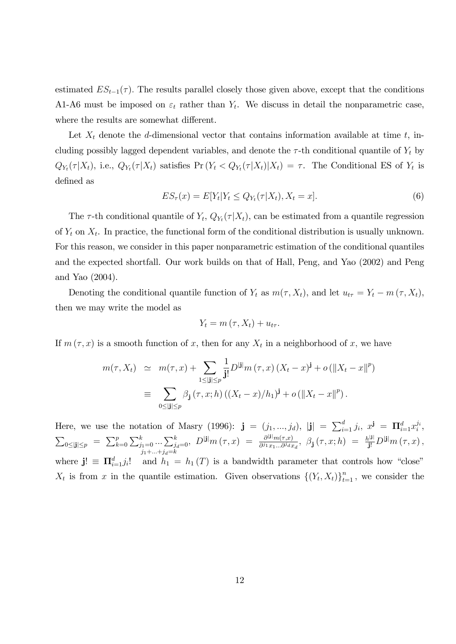estimated  $ES_{t-1}(\tau)$ . The results parallel closely those given above, except that the conditions A1-A6 must be imposed on  $\varepsilon_t$  rather than  $Y_t$ . We discuss in detail the nonparametric case, where the results are somewhat different.

Let  $X_t$  denote the d-dimensional vector that contains information available at time t, including possibly lagged dependent variables, and denote the  $\tau$ -th conditional quantile of  $Y_t$  by  $Q_{Y_t}(\tau|X_t)$ , i.e.,  $Q_{Y_t}(\tau|X_t)$  satisfies  $\Pr(Y_t < Q_{Y_t}(\tau|X_t)|X_t) = \tau$ . The Conditional ES of  $Y_t$  is defined as

$$
ES_{\tau}(x) = E[Y_t|Y_t \le Q_{Y_t}(\tau|X_t), X_t = x].
$$
\n
$$
(6)
$$

The  $\tau$ -th conditional quantile of  $Y_t$ ,  $Q_{Y_t}(\tau|X_t)$ , can be estimated from a quantile regression of  $Y_t$  on  $X_t$ . In practice, the functional form of the conditional distribution is usually unknown. For this reason, we consider in this paper nonparametric estimation of the conditional quantiles and the expected shortfall. Our work builds on that of Hall, Peng, and Yao (2002) and Peng and Yao (2004).

Denoting the conditional quantile function of  $Y_t$  as  $m(\tau, X_t)$ , and let  $u_{t\tau} = Y_t - m(\tau, X_t)$ , then we may write the model as

$$
Y_t = m(\tau, X_t) + u_{t\tau}.
$$

If  $m(\tau, x)$  is a smooth function of x, then for any  $X_t$  in a neighborhood of x, we have

$$
m(\tau, X_t) \simeq m(\tau, x) + \sum_{1 \leq |\mathbf{j}| \leq p} \frac{1}{\mathbf{j}!} D^{|\mathbf{j}|} m(\tau, x) (X_t - x)^{\mathbf{j}} + o(||X_t - x||^p)
$$
  

$$
\equiv \sum_{0 \leq |\mathbf{j}| \leq p} \beta_{\mathbf{j}}(\tau, x; h) ((X_t - x)/h_1)^{\mathbf{j}} + o(||X_t - x||^p).
$$

Here, we use the notation of Masry (1996):  $\mathbf{j} = (j_1, ..., j_d), |\mathbf{j}| = \sum_{i=1}^d j_i, x^{\mathbf{j}} = \mathbf{\Pi}_{i=1}^d x_i^{j_i}$  $\sum_{0 \leq |\mathbf{j}| \leq p} = \sum_{k=0}^{p} \sum_{j_1=0}^{k} ... \sum_{j_d=0}^{k}$  $j_1 + \ldots + j_d = k$  $, D^{|{\bf j}|}m(\tau, x) = \frac{\partial^{|{\bf j}|}m(\tau, x)}{\partial^{|{\bf j}|}m(\tau, x)}$  $\frac{\partial^{|\mathbf{j}|} m(\tau, x)}{\partial^{j_1} x_1 \dots \partial^{j_d} x_d}, \ \beta_\mathbf{j}(\tau, x; h) = \frac{h^{|\mathbf{j}|}}{\mathbf{j}!} D^{|\mathbf{j}|} m(\tau, x),$ where  $\mathbf{j} \equiv \mathbf{\Pi}_{i=1}^d j_i!$  and  $h_1 = h_1(T)$  is a bandwidth parameter that controls how "close"  $X_t$  is from x in the quantile estimation. Given observations  $\{(Y_t, X_t)\}_{t=1}^n$ , we consider the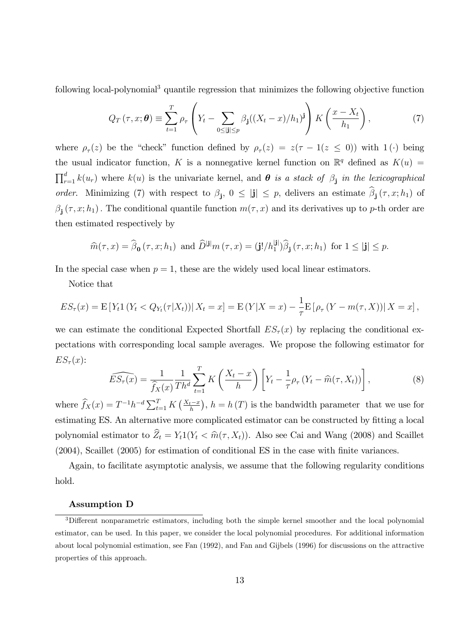following local-polynomial<sup>3</sup> quantile regression that minimizes the following objective function

$$
Q_T(\tau, x; \boldsymbol{\theta}) \equiv \sum_{t=1}^T \rho_\tau \left( Y_t - \sum_{0 \le |\mathbf{j}| \le p} \beta_\mathbf{j} ((X_t - x)/h_1)^{\mathbf{j}} \right) K \left( \frac{x - X_t}{h_1} \right), \tag{7}
$$

where  $\rho_{\tau}(z)$  be the "check" function defined by  $\rho_{\tau}(z) = z(\tau - 1(z \le 0))$  with  $1(\cdot)$  being the usual indicator function, K is a nonnegative kernel function on  $\mathbb{R}^q$  defined as  $K(u)$  =  $\prod_{r=1}^{d} k(u_r)$  where  $k(u)$  is the univariate kernel, and  $\theta$  is a stack of  $\beta_j$  in the lexicographical order. Minimizing (7) with respect to  $\beta_j$ ,  $0 \leq |\mathbf{j}| \leq p$ , delivers an estimate  $\beta_j(\tau, x; h_1)$  of  $\beta_j(\tau, x; h_1)$ . The conditional quantile function  $m(\tau, x)$  and its derivatives up to p-th order are then estimated respectively by

$$
\widehat{m}(\tau, x) = \widehat{\beta}_{\mathbf{0}}(\tau, x; h_1) \text{ and } \widehat{D}^{|\mathbf{j}|} m(\tau, x) = (\mathbf{j}! / h_1^{|\mathbf{j}|}) \widehat{\beta}_{\mathbf{j}}(\tau, x; h_1) \text{ for } 1 \leq |\mathbf{j}| \leq p.
$$

In the special case when  $p = 1$ , these are the widely used local linear estimators.

Notice that

$$
ES_{\tau}(x) = \mathbb{E}[Y_t 1(Y_t < Q_{Y_t}(\tau | X_t))] X_t = x] = \mathbb{E}(Y | X = x) - \frac{1}{\tau} \mathbb{E}[\rho_{\tau}(Y - m(\tau, X)) | X = x],
$$

we can estimate the conditional Expected Shortfall  $ES_{\tau}(x)$  by replacing the conditional expectations with corresponding local sample averages. We propose the following estimator for  $ES_{\tau}(x)$ :

$$
\widehat{ES_{\tau}(x)} = \frac{1}{\widehat{f}_X(x)} \frac{1}{Th^d} \sum_{t=1}^T K\left(\frac{X_t - x}{h}\right) \left[ Y_t - \frac{1}{\tau} \rho_{\tau} \left(Y_t - \widehat{m}(\tau, X_t)\right) \right],\tag{8}
$$

where  $\widehat{f}_X(x) = T^{-1}h^{-d}\sum_{t=1}^T K\left(\frac{X_t-x}{h}\right), h = h(T)$  is the bandwidth parameter that we use for estimating ES. An alternative more complicated estimator can be constructed by fitting a local polynomial estimator to  $\hat{Z}_t = Y_t 1(Y_t \langle \hat{m}(\tau, X_t) \rangle)$ . Also see Cai and Wang (2008) and Scaillet (2004), Scaillet (2005) for estimation of conditional ES in the case with Önite variances.

Again, to facilitate asymptotic analysis, we assume that the following regularity conditions hold.

#### Assumption D

<sup>&</sup>lt;sup>3</sup>Different nonparametric estimators, including both the simple kernel smoother and the local polynomial estimator, can be used. In this paper, we consider the local polynomial procedures. For additional information about local polynomial estimation, see Fan (1992), and Fan and Gijbels (1996) for discussions on the attractive properties of this approach.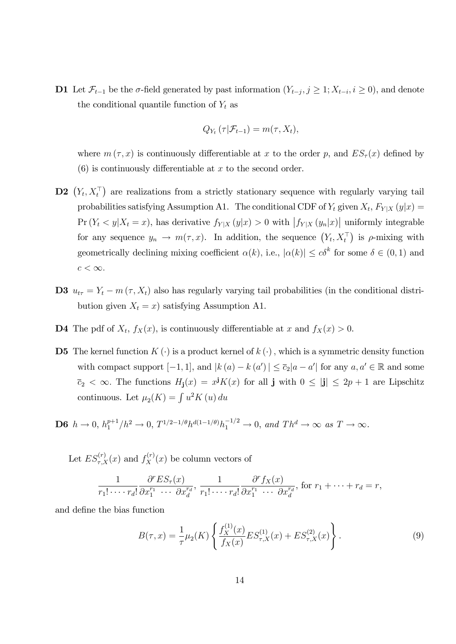**D1** Let  $\mathcal{F}_{t-1}$  be the  $\sigma$ -field generated by past information  $(Y_{t-j}, j \geq 1; X_{t-i}, i \geq 0)$ , and denote the conditional quantile function of  $Y_t$  as

$$
Q_{Y_t}(\tau | \mathcal{F}_{t-1}) = m(\tau, X_t),
$$

where  $m(\tau, x)$  is continuously differentiable at x to the order p, and  $ES_{\tau}(x)$  defined by  $(6)$  is continuously differentiable at x to the second order.

- **D2**  $(Y_t, X_t^{\top})$  are realizations from a strictly stationary sequence with regularly varying tail probabilities satisfying Assumption A1. The conditional CDF of  $Y_t$  given  $X_t$ ,  $F_{Y|X}(y|x) =$  $Pr(Y_t \leq y | X_t = x)$ , has derivative  $f_{Y|X}(y|x) > 0$  with  $|f_{Y|X}(y_n|x)|$  uniformly integrable for any sequence  $y_n \to m(\tau, x)$ . In addition, the sequence  $(Y_t, X_t^{\top})$  is  $\rho$ -mixing with geometrically declining mixing coefficient  $\alpha(k)$ , i.e.,  $|\alpha(k)| \leq c\delta^k$  for some  $\delta \in (0,1)$  and  $c < \infty$ .
- D3  $u_{t\tau} = Y_t m(\tau, X_t)$  also has regularly varying tail probabilities (in the conditional distribution given  $X_t = x$ ) satisfying Assumption A1.
- **D4** The pdf of  $X_t$ ,  $f_X(x)$ , is continuously differentiable at x and  $f_X(x) > 0$ .
- **D5** The kernel function  $K(\cdot)$  is a product kernel of  $k(\cdot)$ , which is a symmetric density function with compact support  $[-1, 1]$ , and  $|k(a) - k(a')| \leq \overline{c}_2 |a - a'|$  for any  $a, a' \in \mathbb{R}$  and some  $\overline{c}_2 < \infty$ . The functions  $H_{\mathbf{j}}(x) = x^{\mathbf{j}}K(x)$  for all  $\mathbf{j}$  with  $0 \leq |\mathbf{j}| \leq 2p + 1$  are Lipschitz continuous. Let  $\mu_2(K) = \int u^2 K(u) du$

**D6** 
$$
h \to 0
$$
,  $h_1^{p+1}/h^2 \to 0$ ,  $T^{1/2-1/\theta}h^{d(1-1/\theta)}h_1^{-1/2} \to 0$ , and  $Th^d \to \infty$  as  $T \to \infty$ .

Let  $ES_{\tau,X}^{(r)}(x)$  and  $f_X^{(r)}(x)$  be column vectors of

$$
\frac{1}{r_1! \cdots r_d!} \frac{\partial^r ES_{\tau}(x)}{\partial x_1^{r_1} \cdots \partial x_d^{r_d}}, \frac{1}{r_1! \cdots r_d!} \frac{\partial^r f_X(x)}{\partial x_1^{r_1} \cdots \partial x_d^{r_d}}, \text{ for } r_1 + \cdots + r_d = r,
$$

and define the bias function

$$
B(\tau, x) = \frac{1}{\tau} \mu_2(K) \left\{ \frac{f_X^{(1)}(x)}{f_X(x)} E S_{\tau, X}^{(1)}(x) + E S_{\tau, X}^{(2)}(x) \right\}.
$$
 (9)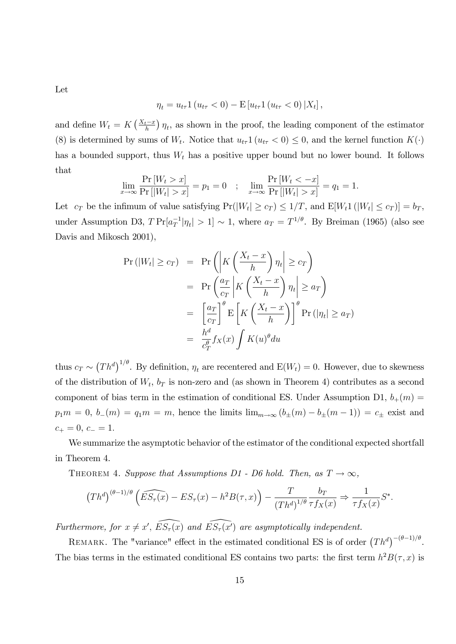Let

$$
\eta_t = u_{t\tau} 1 (u_{t\tau} < 0) - \mathbf{E} [u_{t\tau} 1 (u_{t\tau} < 0) | X_t],
$$

and define  $W_t = K\left(\frac{X_t - x}{h}\right)\eta_t$ , as shown in the proof, the leading component of the estimator (8) is determined by sums of  $W_t$ . Notice that  $u_{t\tau}1(u_{t\tau} < 0) \leq 0$ , and the kernel function  $K(\cdot)$ has a bounded support, thus  $W_t$  has a positive upper bound but no lower bound. It follows that

$$
\lim_{x \to \infty} \frac{\Pr[W_t > x]}{\Pr[W_t| > x]} = p_1 = 0 \quad ; \quad \lim_{x \to \infty} \frac{\Pr[W_t < -x]}{\Pr[W_t| > x]} = q_1 = 1.
$$

Let  $c_T$  be the infimum of value satisfying  $Pr(|W_t| \geq c_T) \leq 1/T$ , and  $E[W_t1(|W_t| \leq c_T)] = b_T$ , under Assumption D3,  $T \Pr[a_T^{-1} | \eta_t] > 1] \sim 1$ , where  $a_T = T^{1/\theta}$ . By Breiman (1965) (also see Davis and Mikosch 2001),

$$
\Pr(|W_t| \geq c_T) = \Pr\left(\left|K\left(\frac{X_t - x}{h}\right)\eta_t\right| \geq c_T\right)
$$

$$
= \Pr\left(\frac{a_T}{c_T}\left|K\left(\frac{X_t - x}{h}\right)\eta_t\right| \geq a_T\right)
$$

$$
= \left[\frac{a_T}{c_T}\right]^\theta \mathbb{E}\left[K\left(\frac{X_t - x}{h}\right)\right]^\theta \Pr(|\eta_t| \geq a_T)
$$

$$
= \frac{h^d}{c_T^{\theta}} f_X(x) \int K(u)^{\theta} du
$$

thus  $c_T \sim (Th^d)^{1/\theta}$ . By definition,  $\eta_t$  are recentered and  $E(W_t) = 0$ . However, due to skewness of the distribution of  $W_t$ ,  $b_T$  is non-zero and (as shown in Theorem 4) contributes as a second component of bias term in the estimation of conditional ES. Under Assumption D1,  $b_+(m)$  =  $p_1m = 0, b_{-}(m) = q_1m = m$ , hence the limits  $\lim_{m\to\infty} (b_{\pm}(m) - b_{\pm}(m - 1)) = c_{\pm}$  exist and  $c_+ = 0, c_- = 1.$ 

We summarize the asymptotic behavior of the estimator of the conditional expected shortfall in Theorem 4.

THEOREM 4. Suppose that Assumptions D1 - D6 hold. Then, as  $T \to \infty$ ,

$$
(Th^d)^{(\theta-1)/\theta} \left( \widehat{ES_\tau(x)} - ES_\tau(x) - h^2 B(\tau, x) \right) - \frac{T}{(Th^d)^{1/\theta}} \frac{b_T}{\tau f_X(x)} \Rightarrow \frac{1}{\tau f_X(x)} S^*.
$$

Furthermore, for  $x \neq x'$ ,  $\overline{E}S_{\tau}(\overline{x})$  and  $\overline{E}S_{\tau}(\overline{x'})$  are asymptotically independent.

REMARK. The "variance" effect in the estimated conditional ES is of order  $(Th^d)^{-(\theta-1)/\theta}$ . The bias terms in the estimated conditional ES contains two parts: the first term  $h^2B(\tau, x)$  is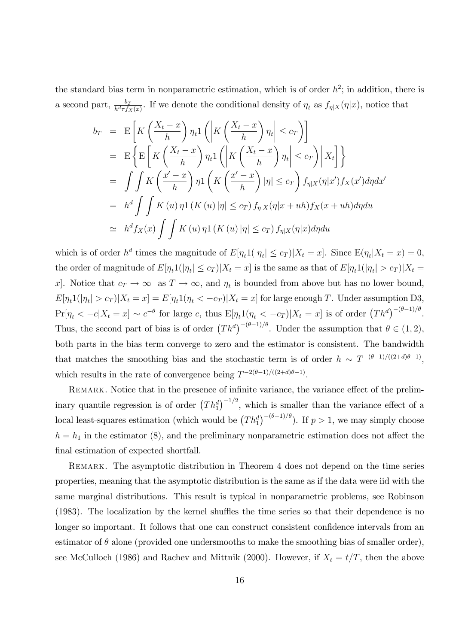the standard bias term in nonparametric estimation, which is of order  $h^2$ ; in addition, there is a second part,  $\frac{b_T}{h^d \tau f_X(x)}$ . If we denote the conditional density of  $\eta_t$  as  $f_{\eta}|_X(\eta|x)$ , notice that

$$
b_T = \mathbb{E}\left[K\left(\frac{X_t - x}{h}\right)\eta_t 1\left(\left|K\left(\frac{X_t - x}{h}\right)\eta_t\right| \le c_T\right)\right]
$$
  
\n
$$
= \mathbb{E}\left\{\mathbb{E}\left[K\left(\frac{X_t - x}{h}\right)\eta_t 1\left(\left|K\left(\frac{X_t - x}{h}\right)\eta_t\right| \le c_T\right)\middle|X_t\right]\right\}
$$
  
\n
$$
= \iint K\left(\frac{x'-x}{h}\right)\eta 1\left(K\left(\frac{x'-x}{h}\right)|\eta| \le c_T\right)f_{\eta|X}(\eta|x')f_X(x')d\eta dx'
$$
  
\n
$$
= h^d \iint K(u)\eta 1(K(u)|\eta| \le c_T)f_{\eta|X}(\eta|x+uh)f_X(x+uh)d\eta du
$$
  
\n
$$
\approx h^d f_X(x) \iint K(u)\eta 1(K(u)|\eta| \le c_T)f_{\eta|X}(\eta|x)d\eta du
$$

which is of order  $h^d$  times the magnitude of  $E[\eta_t 1(|\eta_t| \le c_T) | X_t = x]$ . Since  $E(\eta_t | X_t = x) = 0$ , the order of magnitude of  $E[\eta_t 1(|\eta_t| \le c_T)|X_t = x]$  is the same as that of  $E[\eta_t 1(|\eta_t| > c_T)|X_t = x]$ x. Notice that  $c_T \to \infty$  as  $T \to \infty$ , and  $\eta_t$  is bounded from above but has no lower bound,  $E[\eta_t 1(|\eta_t| > c_T)|X_t = x] = E[\eta_t 1(\eta_t < -c_T)|X_t = x]$  for large enough T. Under assumption D3,  $Pr[\eta_t < -c|X_t = x] \sim c^{-\theta}$  for large c, thus  $E[\eta_t 1(\eta_t < -c_T)|X_t = x]$  is of order  $(Th^d)^{-(\theta-1)/\theta}$ . Thus, the second part of bias is of order  $(Th^d)^{-(\theta-1)/\theta}$ . Under the assumption that  $\theta \in (1, 2)$ , both parts in the bias term converge to zero and the estimator is consistent. The bandwidth that matches the smoothing bias and the stochastic term is of order  $h \sim T^{-(\theta-1)/((2+d)\theta-1)}$ , which results in the rate of convergence being  $T^{-2(\theta-1)/((2+d)\theta-1)}$ .

REMARK. Notice that in the presence of infinite variance, the variance effect of the preliminary quantile regression is of order  $(Th_1^d)^{-1/2}$ , which is smaller than the variance effect of a local least-squares estimation (which would be  $(Th_1^d)^{-(\theta-1)/\theta}$ ). If  $p > 1$ , we may simply choose  $h = h_1$  in the estimator (8), and the preliminary nonparametric estimation does not affect the final estimation of expected shortfall.

REMARK. The asymptotic distribution in Theorem 4 does not depend on the time series properties, meaning that the asymptotic distribution is the same as if the data were iid with the same marginal distributions. This result is typical in nonparametric problems, see Robinson (1983). The localization by the kernel shuffles the time series so that their dependence is no longer so important. It follows that one can construct consistent confidence intervals from an estimator of  $\theta$  alone (provided one undersmooths to make the smoothing bias of smaller order), see McCulloch (1986) and Rachev and Mittnik (2000). However, if  $X_t = t/T$ , then the above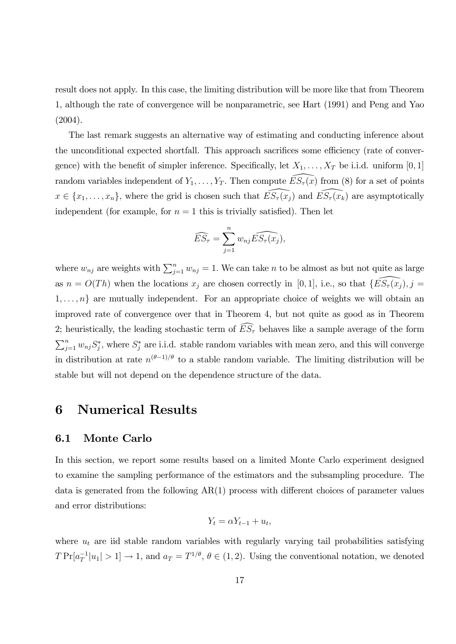result does not apply. In this case, the limiting distribution will be more like that from Theorem 1, although the rate of convergence will be nonparametric, see Hart (1991) and Peng and Yao (2004).

The last remark suggests an alternative way of estimating and conducting inference about the unconditional expected shortfall. This approach sacrifices some efficiency (rate of convergence) with the benefit of simpler inference. Specifically, let  $X_1, \ldots, X_T$  be i.i.d. uniform [0, 1] random variables independent of  $Y_1, \ldots, Y_T$ . Then compute  $\widehat{ES_{\tau}(x)}$  from (8) for a set of points  $x \in \{x_1, \ldots, x_n\}$ , where the grid is chosen such that  $\widehat{ES_\tau(x_j)}$  and  $\widehat{ES_\tau(x_k)}$  are asymptotically independent (for example, for  $n = 1$  this is trivially satisfied). Then let

$$
\widehat{ES_{\tau}} = \sum_{j=1}^{n} w_{nj} \widehat{ES_{\tau}(x_j)},
$$

where  $w_{nj}$  are weights with  $\sum_{j=1}^{n} w_{nj} = 1$ . We can take n to be almost as but not quite as large as  $n = O(Th)$  when the locations  $x_j$  are chosen correctly in [0, 1], i.e., so that  $\{E\widehat{S_\tau(x_j)}, j =$  $1, \ldots, n$  are mutually independent. For an appropriate choice of weights we will obtain an improved rate of convergence over that in Theorem 4, but not quite as good as in Theorem 2; heuristically, the leading stochastic term of  $\widehat{ES}_{\tau}$  behaves like a sample average of the form  $\sum_{j=1}^n w_{nj} S_j^*$ , where  $S_j^*$  are i.i.d. stable random variables with mean zero, and this will converge in distribution at rate  $n^{(\theta-1)/\theta}$  to a stable random variable. The limiting distribution will be stable but will not depend on the dependence structure of the data.

### 6 Numerical Results

#### 6.1 Monte Carlo

In this section, we report some results based on a limited Monte Carlo experiment designed to examine the sampling performance of the estimators and the subsampling procedure. The data is generated from the following  $AR(1)$  process with different choices of parameter values and error distributions:

$$
Y_t = \alpha Y_{t-1} + u_t,
$$

where  $u_t$  are iid stable random variables with regularly varying tail probabilities satisfying  $T \Pr[a_T^{-1}|u_1| > 1] \to 1$ , and  $a_T = T^{1/\theta}$ ,  $\theta \in (1, 2)$ . Using the conventional notation, we denoted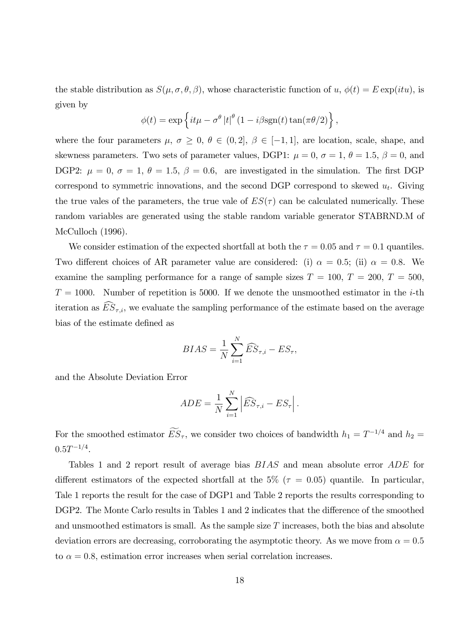the stable distribution as  $S(\mu, \sigma, \theta, \beta)$ , whose characteristic function of  $u, \phi(t) = E \exp(itu)$ , is given by

$$
\phi(t) = \exp\left\{it\mu - \sigma^{\theta} |t|^{\theta} (1 - i\beta \text{sgn}(t) \tan(\pi \theta/2)\right\},\,
$$

where the four parameters  $\mu$ ,  $\sigma \geq 0$ ,  $\theta \in (0, 2], \beta \in [-1, 1]$ , are location, scale, shape, and skewness parameters. Two sets of parameter values, DGP1:  $\mu = 0$ ,  $\sigma = 1$ ,  $\theta = 1.5$ ,  $\beta = 0$ , and DGP2:  $\mu = 0$ ,  $\sigma = 1$ ,  $\theta = 1.5$ ,  $\beta = 0.6$ , are investigated in the simulation. The first DGP correspond to symmetric innovations, and the second DGP correspond to skewed  $u_t$ . Giving the true vales of the parameters, the true vale of  $ES(\tau)$  can be calculated numerically. These random variables are generated using the stable random variable generator STABRND.M of McCulloch (1996).

We consider estimation of the expected shortfall at both the  $\tau = 0.05$  and  $\tau = 0.1$  quantiles. Two different choices of AR parameter value are considered: (i)  $\alpha = 0.5$ ; (ii)  $\alpha = 0.8$ . We examine the sampling performance for a range of sample sizes  $T = 100, T = 200, T = 500,$  $T = 1000$ . Number of repetition is 5000. If we denote the unsmoothed estimator in the *i*-th iteration as  $ES_{\tau,i}$ , we evaluate the sampling performance of the estimate based on the average bias of the estimate defined as

$$
BIAS = \frac{1}{N} \sum_{i=1}^{N} \widehat{ES}_{\tau,i} - ES_{\tau},
$$

and the Absolute Deviation Error

$$
ADE = \frac{1}{N} \sum_{i=1}^{N} \left| \widehat{ES}_{\tau,i} - ES_{\tau} \right|.
$$

For the smoothed estimator  $ES_{\tau}$ , we consider two choices of bandwidth  $h_1 = T^{-1/4}$  and  $h_2 =$  $0.5T^{-1/4}.$ 

Tables 1 and 2 report result of average bias BIAS and mean absolute error ADE for different estimators of the expected shortfall at the 5% ( $\tau = 0.05$ ) quantile. In particular, Tale 1 reports the result for the case of DGP1 and Table 2 reports the results corresponding to DGP2. The Monte Carlo results in Tables 1 and 2 indicates that the difference of the smoothed and unsmoothed estimators is small. As the sample size  $T$  increases, both the bias and absolute deviation errors are decreasing, corroborating the asymptotic theory. As we move from  $\alpha = 0.5$ to  $\alpha = 0.8$ , estimation error increases when serial correlation increases.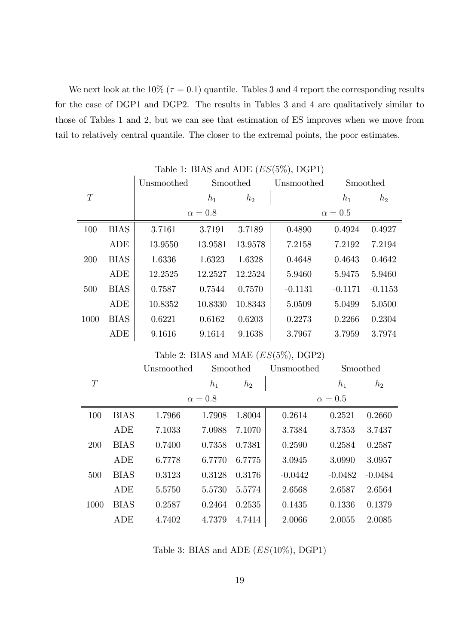We next look at the 10% ( $\tau = 0.1$ ) quantile. Tables 3 and 4 report the corresponding results for the case of DGP1 and DGP2. The results in Tables 3 and 4 are qualitatively similar to those of Tables 1 and 2, but we can see that estimation of ES improves when we move from tail to relatively central quantile. The closer to the extremal points, the poor estimates.

|      |             | $\cdots$   |                |         |            |                |           |  |
|------|-------------|------------|----------------|---------|------------|----------------|-----------|--|
|      |             | Unsmoothed | Smoothed       |         | Unsmoothed | Smoothed       |           |  |
| T    |             |            | $h_1$          | $h_2$   |            | $h_1$          | $h_2$     |  |
|      |             |            | $\alpha = 0.8$ |         |            | $\alpha = 0.5$ |           |  |
| 100  | <b>BIAS</b> | 3.7161     | 3.7191         | 3.7189  | 0.4890     | 0.4924         | 0.4927    |  |
|      | ADE         | 13.9550    | 13.9581        | 13.9578 | 7.2158     | 7.2192         | 7.2194    |  |
| 200  | <b>BIAS</b> | 1.6336     | 1.6323         | 1.6328  | 0.4648     | 0.4643         | 0.4642    |  |
|      | ADE         | 12.2525    | 12.2527        | 12.2524 | 5.9460     | 5.9475         | 5.9460    |  |
| 500  | <b>BIAS</b> | 0.7587     | 0.7544         | 0.7570  | $-0.1131$  | $-0.1171$      | $-0.1153$ |  |
|      | ADE         | 10.8352    | 10.8330        | 10.8343 | 5.0509     | 5.0499         | 5.0500    |  |
| 1000 | <b>BIAS</b> | 0.6221     | 0.6162         | 0.6203  | 0.2273     | 0.2266         | 0.2304    |  |
|      | ADE         | 9.1616     | 9.1614         | 9.1638  | 3.7967     | 3.7959         | 3.7974    |  |

Table 1: BIAS and ADE  $(ES(5\%),$  DGP1)

|      |             | Unsmoothed     | Smoothed |        | Unsmoothed     |           | Smoothed  |  |
|------|-------------|----------------|----------|--------|----------------|-----------|-----------|--|
| T    |             |                | $h_1$    | $h_2$  |                | $h_1$     | $h_2$     |  |
|      |             | $\alpha = 0.8$ |          |        | $\alpha = 0.5$ |           |           |  |
| 100  | <b>BIAS</b> | 1.7966         | 1.7908   | 1.8004 | 0.2614         | 0.2521    | 0.2660    |  |
|      | ADE         | 7.1033         | 7.0988   | 7.1070 | 3.7384         | 3.7353    | 3.7437    |  |
| 200  | <b>BIAS</b> | 0.7400         | 0.7358   | 0.7381 | 0.2590         | 0.2584    | 0.2587    |  |
|      | ADE         | 6.7778         | 6.7770   | 6.7775 | 3.0945         | 3.0990    | 3.0957    |  |
| 500  | <b>BIAS</b> | 0.3123         | 0.3128   | 0.3176 | $-0.0442$      | $-0.0482$ | $-0.0484$ |  |
|      | ADE         | 5.5750         | 5.5730   | 5.5774 | 2.6568         | 2.6587    | 2.6564    |  |
| 1000 | <b>BIAS</b> | 0.2587         | 0.2464   | 0.2535 | 0.1435         | 0.1336    | 0.1379    |  |
|      | ADE         | 4.7402         | 4.7379   | 4.7414 | 2.0066         | 2.0055    | 2.0085    |  |

### Table 2: BIAS and MAE  $(ES(5\%),$  DGP2)

 $\overline{1}$ 

Table 3: BIAS and ADE  $(ES(10\%),$  DGP1)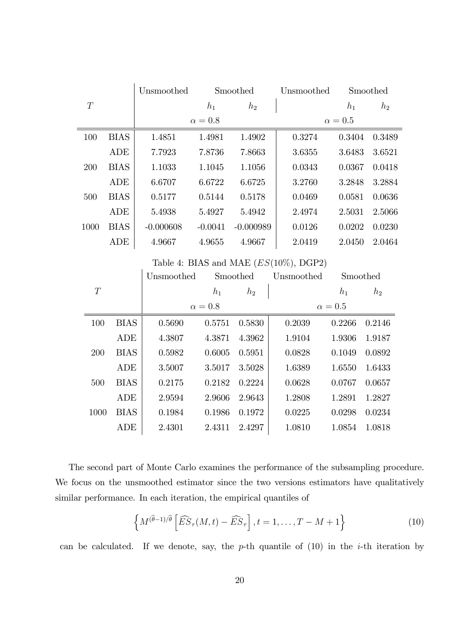|      |             | Unsmoothed  | Smoothed       |                | Unsmoothed                               |              | Smoothed       |  |  |
|------|-------------|-------------|----------------|----------------|------------------------------------------|--------------|----------------|--|--|
| T    |             |             | $h_1$          | h <sub>2</sub> |                                          | $h_1$        | $h_2$          |  |  |
|      |             |             | $\alpha = 0.8$ |                |                                          | $\alpha=0.5$ |                |  |  |
| 100  | <b>BIAS</b> | 1.4851      | 1.4981         | 1.4902         | 0.3274                                   | 0.3404       | 0.3489         |  |  |
|      | <b>ADE</b>  | 7.7923      | 7.8736         | 7.8663         | 3.6355                                   | 3.6483       | 3.6521         |  |  |
| 200  | <b>BIAS</b> | 1.1033      | 1.1045         | 1.1056         | 0.0343                                   | 0.0367       | 0.0418         |  |  |
|      | <b>ADE</b>  | 6.6707      | 6.6722         | 6.6725         | 3.2760                                   | 3.2848       | 3.2884         |  |  |
| 500  | <b>BIAS</b> | 0.5177      | 0.5144         | 0.5178         | 0.0469                                   | 0.0581       | 0.0636         |  |  |
|      | <b>ADE</b>  | 5.4938      | 5.4927         | 5.4942         | 2.4974                                   | 2.5031       | 2.5066         |  |  |
| 1000 | <b>BIAS</b> | $-0.000608$ | $-0.0041$      | $-0.000989$    | 0.0126                                   | 0.0202       | 0.0230         |  |  |
|      | <b>ADE</b>  | 4.9667      | 4.9655         | 4.9667         | 2.0419                                   | 2.0450       | 2.0464         |  |  |
|      |             |             |                |                | Table 4: BIAS and MAE $(ES(10\%),$ DGP2) |              |                |  |  |
|      |             | Unsmoothed  |                | Smoothed       | Unsmoothed                               | Smoothed     |                |  |  |
| T    |             |             | $h_1$          | $h_2$          |                                          | $h_1$        | h <sub>2</sub> |  |  |
|      |             |             | $\alpha=0.8$   |                |                                          | $\alpha=0.5$ |                |  |  |
| 100  | <b>BIAS</b> | 0.5690      | 0.5751         | 0.5830         | 0.2039                                   | 0.2266       | 0.2146         |  |  |
|      | ADE         | 4.3807      | 4.3871         | 4.3962         | 1.9104                                   | 1.9306       | 1.9187         |  |  |
| 200  | <b>BIAS</b> | 0.5982      | 0.6005         | 0.5951         | 0.0828                                   | 0.1049       | 0.0892         |  |  |
|      | ADE         | 3.5007      | 3.5017         | 3.5028         | 1.6389                                   | 1.6550       | 1.6433         |  |  |
| 500  | <b>BIAS</b> | 0.2175      | 0.2182         | 0.2224         | 0.0628                                   | 0.0767       | 0.0657         |  |  |
|      | ADE         | 2.9594      | 2.9606         | 2.9643         | 1.2808                                   | 1.2891       | 1.2827         |  |  |
| 1000 | <b>BIAS</b> | 0.1984      | 0.1986         | 0.1972         | 0.0225                                   | 0.0298       | 0.0234         |  |  |
|      | ADE         | 2.4301      | 2.4311         | 2.4297         | 1.0810                                   | 1.0854       | 1.0818         |  |  |

The second part of Monte Carlo examines the performance of the subsampling procedure. We focus on the unsmoothed estimator since the two versions estimators have qualitatively similar performance. In each iteration, the empirical quantiles of

$$
\left\{ M^{(\hat{\theta}-1)/\hat{\theta}} \left[ \widehat{ES}_{\tau}(M,t) - \widehat{ES}_{\tau} \right], t = 1, \dots, T - M + 1 \right\}
$$
 (10)

can be calculated. If we denote, say, the  $p$ -th quantile of  $(10)$  in the *i*-th iteration by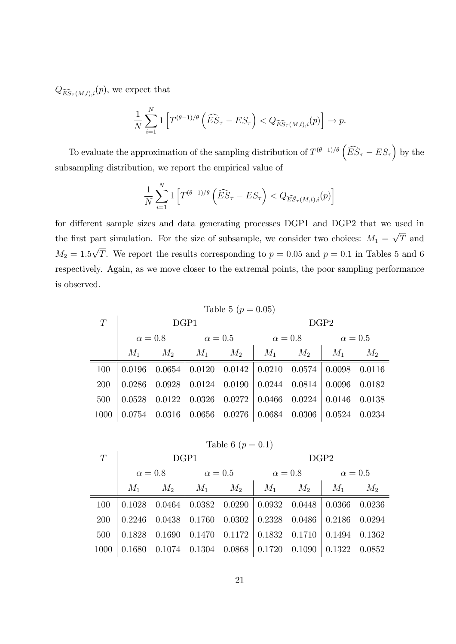$Q_{\widehat{ES}_{\tau}(M,t),i}(p)$ , we expect that

 $\mathbf{r}$ 

$$
\frac{1}{N} \sum_{i=1}^{N} \mathbf{1} \left[ T^{(\theta-1)/\theta} \left( \widehat{ES}_{\tau} - ES_{\tau} \right) < Q_{\widehat{ES}_{\tau}(M,t),i}(p) \right] \to p.
$$

To evaluate the approximation of the sampling distribution of  $T^{(\theta-1)/\theta} \left( \widehat{ES}_{\tau} - ES_{\tau} \right)$  by the subsampling distribution, we report the empirical value of

$$
\frac{1}{N} \sum_{i=1}^{N} \mathbf{1} \left[ T^{(\theta-1)/\theta} \left( \widehat{ES}_{\tau} - ES_{\tau} \right) < Q_{\widehat{ES}_{\tau}(M,t),i}(p) \right]
$$

for different sample sizes and data generating processes DGP1 and DGP2 that we used in the first part simulation. For the size of subsample, we consider two choices:  $M_1 = \sqrt{T}$  and  $M_2 = 1.5\sqrt{T}$ . We report the results corresponding to  $p = 0.05$  and  $p = 0.1$  in Tables 5 and 6 respectively. Again, as we move closer to the extremal points, the poor sampling performance is observed.

| Table 5 ( $p = 0.05$ ) |      |  |                                                                         |  |                  |  |  |  |  |  |
|------------------------|------|--|-------------------------------------------------------------------------|--|------------------|--|--|--|--|--|
| T                      | DGP1 |  |                                                                         |  | DGP <sub>2</sub> |  |  |  |  |  |
|                        |      |  | $\alpha = 0.8$ $\alpha = 0.5$ $\alpha = 0.8$ $\alpha = 0.5$             |  |                  |  |  |  |  |  |
|                        |      |  | $M_1$ $M_2$ $M_1$ $M_2$ $M_1$ $M_2$ $M_1$ $M_2$                         |  |                  |  |  |  |  |  |
| 100                    |      |  | $0.0196$ $0.0654$ $0.0120$ $0.0142$ $0.0210$ $0.0574$ $0.0098$ $0.0116$ |  |                  |  |  |  |  |  |
| 200                    |      |  | $0.0286$ $0.0928$ $0.0124$ $0.0190$ $0.0244$ $0.0814$ $0.0096$ $0.0182$ |  |                  |  |  |  |  |  |
| 500                    |      |  | $0.0528$ $0.0122$ $0.0326$ $0.0272$ $0.0466$ $0.0224$ $0.0146$ $0.0138$ |  |                  |  |  |  |  |  |
| 1000                   |      |  | $0.0754$ $0.0316$ $0.0656$ $0.0276$ $0.0684$ $0.0306$ $0.0524$ $0.0234$ |  |                  |  |  |  |  |  |

Table 6 (
$$
p = 0.1
$$
)

| T    | DGP1           |               |                |                              | DGP2                              |                                       |                                                 |        |
|------|----------------|---------------|----------------|------------------------------|-----------------------------------|---------------------------------------|-------------------------------------------------|--------|
|      | $\alpha = 0.8$ |               | $\alpha = 0.5$ |                              | $\alpha=0.8$                      |                                       | $\alpha = 0.5$                                  |        |
|      | $M_1$          | $M_2$         | $M_1$ $M_2$    |                              | $M_1$                             | $M_2$                                 | $M_1$                                           | $M_2$  |
| 100  | 0.1028         | 0.0464        |                |                              |                                   | $0.0382$ $0.0290$   $0.0932$ $0.0448$ | $\begin{array}{ c} 0.0366 & 0.0236 \end{array}$ |        |
| 200  |                | 0.2246 0.0438 |                |                              |                                   | $0.1760$ $0.0302$   $0.2328$ $0.0486$ | $\begin{array}{ c} 0.2186 & 0.0294 \end{array}$ |        |
| 500  | 0.1828         | 0.1690        | 0.1470         |                              | $0.1172 \mid 0.1832 \quad 0.1710$ |                                       | $0.1494$ $0.1362$                               |        |
| 1000 | 0.1680         | 0.1074        |                | $0.1304$ $0.0868$   $0.1720$ |                                   | 0.1090                                | 0.1322                                          | 0.0852 |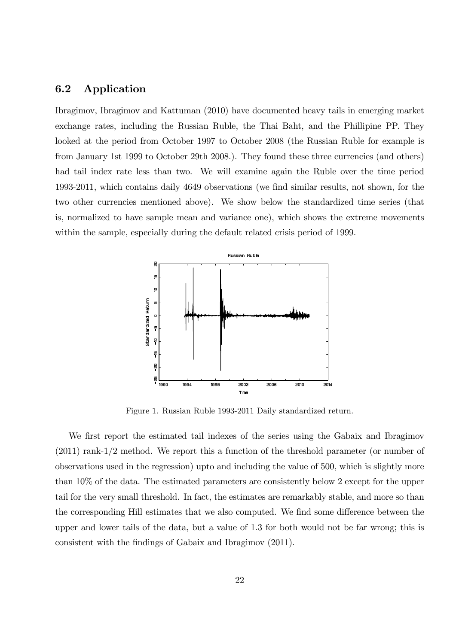### 6.2 Application

Ibragimov, Ibragimov and Kattuman (2010) have documented heavy tails in emerging market exchange rates, including the Russian Ruble, the Thai Baht, and the Phillipine PP. They looked at the period from October 1997 to October 2008 (the Russian Ruble for example is from January 1st 1999 to October 29th 2008.). They found these three currencies (and others) had tail index rate less than two. We will examine again the Ruble over the time period 1993-2011, which contains daily 4649 observations (we Önd similar results, not shown, for the two other currencies mentioned above). We show below the standardized time series (that is, normalized to have sample mean and variance one), which shows the extreme movements within the sample, especially during the default related crisis period of 1999.



Figure 1. Russian Ruble 1993-2011 Daily standardized return.

We first report the estimated tail indexes of the series using the Gabaix and Ibragimov (2011) rank-1/2 method. We report this a function of the threshold parameter (or number of observations used in the regression) upto and including the value of 500, which is slightly more than 10% of the data. The estimated parameters are consistently below 2 except for the upper tail for the very small threshold. In fact, the estimates are remarkably stable, and more so than the corresponding Hill estimates that we also computed. We find some difference between the upper and lower tails of the data, but a value of 1.3 for both would not be far wrong; this is consistent with the findings of Gabaix and Ibragimov (2011).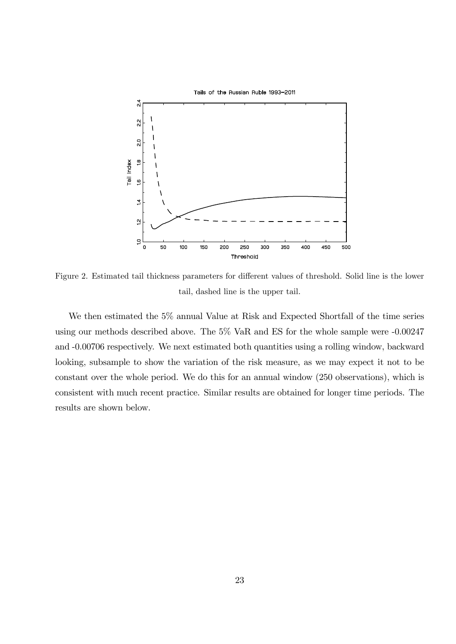

Figure 2. Estimated tail thickness parameters for different values of threshold. Solid line is the lower tail, dashed line is the upper tail.

We then estimated the 5% annual Value at Risk and Expected Shortfall of the time series using our methods described above. The 5% VaR and ES for the whole sample were -0.00247 and -0.00706 respectively. We next estimated both quantities using a rolling window, backward looking, subsample to show the variation of the risk measure, as we may expect it not to be constant over the whole period. We do this for an annual window (250 observations), which is consistent with much recent practice. Similar results are obtained for longer time periods. The results are shown below.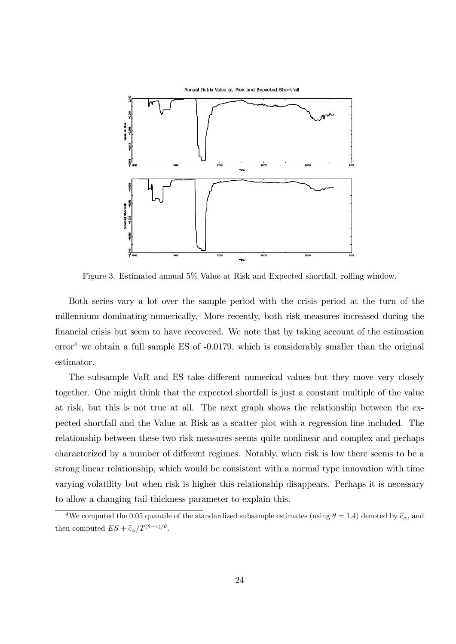

Figure 3. Estimated annual 5% Value at Risk and Expected shortfall, rolling window.

Both series vary a lot over the sample period with the crisis period at the turn of the millennium dominating numerically. More recently, both risk measures increased during the Önancial crisis but seem to have recovered. We note that by taking account of the estimation  $error<sup>4</sup>$  we obtain a full sample ES of  $-0.0179$ , which is considerably smaller than the original estimator.

The subsample VaR and ES take different numerical values but they move very closely together. One might think that the expected shortfall is just a constant multiple of the value at risk, but this is not true at all. The next graph shows the relationship between the expected shortfall and the Value at Risk as a scatter plot with a regression line included. The relationship between these two risk measures seems quite nonlinear and complex and perhaps characterized by a number of different regimes. Notably, when risk is low there seems to be a strong linear relationship, which would be consistent with a normal type innovation with time varying volatility but when risk is higher this relationship disappears. Perhaps it is necessary to allow a changing tail thickness parameter to explain this.

<sup>&</sup>lt;sup>4</sup>We computed the 0.05 quantile of the standardized subsample estimates (using  $\theta = 1.4$ ) denoted by  $\hat{c}_{\alpha}$ , and then computed  $ES + \widehat{c}_{\alpha}/T^{(\theta-1)/\theta}$ .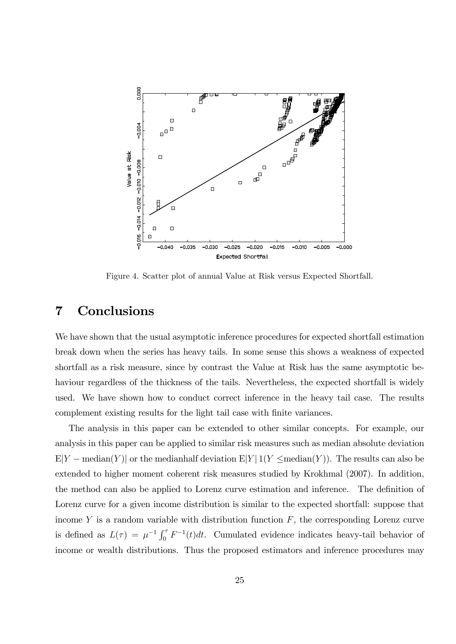

Figure 4. Scatter plot of annual Value at Risk versus Expected Shortfall.

### 7 Conclusions

We have shown that the usual asymptotic inference procedures for expected shortfall estimation break down when the series has heavy tails. In some sense this shows a weakness of expected shortfall as a risk measure, since by contrast the Value at Risk has the same asymptotic behaviour regardless of the thickness of the tails. Nevertheless, the expected shortfall is widely used. We have shown how to conduct correct inference in the heavy tail case. The results complement existing results for the light tail case with finite variances.

The analysis in this paper can be extended to other similar concepts. For example, our analysis in this paper can be applied to similar risk measures such as median absolute deviation  $E|Y - \text{median}(Y)|$  or the medianhalf deviation  $E|Y|1(Y \leq \text{median}(Y))$ . The results can also be extended to higher moment coherent risk measures studied by Krokhmal (2007). In addition, the method can also be applied to Lorenz curve estimation and inference. The definition of Lorenz curve for a given income distribution is similar to the expected shortfall: suppose that income Y is a random variable with distribution function  $F$ , the corresponding Lorenz curve is defined as  $L(\tau) = \mu^{-1} \int_0^{\tau} F^{-1}(t) dt$ . Cumulated evidence indicates heavy-tail behavior of income or wealth distributions. Thus the proposed estimators and inference procedures may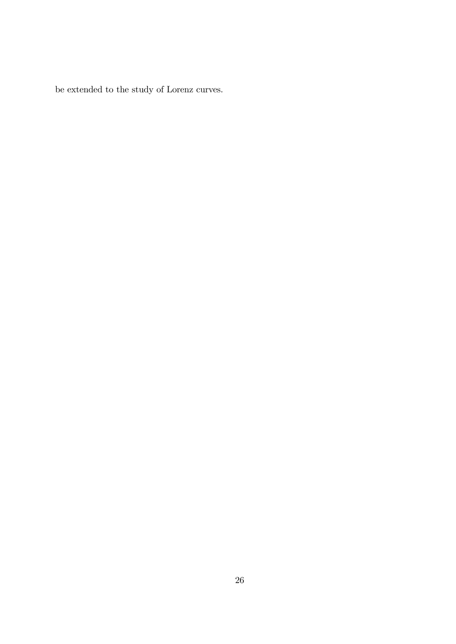be extended to the study of Lorenz curves.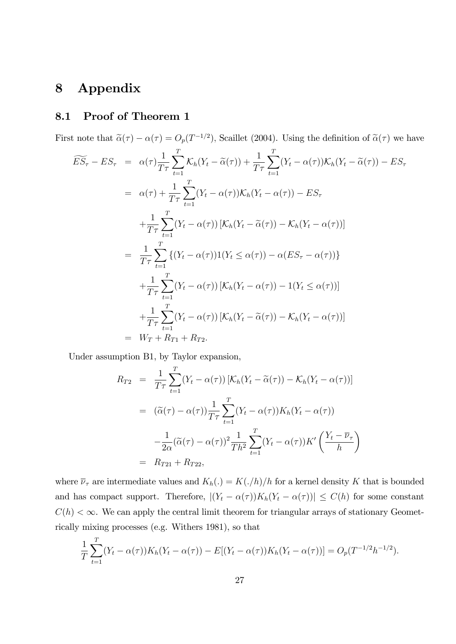# 8 Appendix

# 8.1 Proof of Theorem 1

First note that  $\tilde{\alpha}(\tau) - \alpha(\tau) = O_p(T^{-1/2})$ , Scaillet (2004). Using the definition of  $\tilde{\alpha}(\tau)$  we have

$$
\widetilde{ES}_{\tau} - ES_{\tau} = \alpha(\tau) \frac{1}{T\tau} \sum_{t=1}^{T} \mathcal{K}_h(Y_t - \widetilde{\alpha}(\tau)) + \frac{1}{T\tau} \sum_{t=1}^{T} (Y_t - \alpha(\tau)) \mathcal{K}_h(Y_t - \widetilde{\alpha}(\tau)) - ES_{\tau}
$$
\n
$$
= \alpha(\tau) + \frac{1}{T\tau} \sum_{t=1}^{T} (Y_t - \alpha(\tau)) \mathcal{K}_h(Y_t - \alpha(\tau)) - ES_{\tau}
$$
\n
$$
+ \frac{1}{T\tau} \sum_{t=1}^{T} (Y_t - \alpha(\tau)) [\mathcal{K}_h(Y_t - \widetilde{\alpha}(\tau)) - \mathcal{K}_h(Y_t - \alpha(\tau))]
$$
\n
$$
= \frac{1}{T\tau} \sum_{t=1}^{T} \{ (Y_t - \alpha(\tau)) 1(Y_t \le \alpha(\tau)) - \alpha (ES_{\tau} - \alpha(\tau)) \}
$$
\n
$$
+ \frac{1}{T\tau} \sum_{t=1}^{T} (Y_t - \alpha(\tau)) [\mathcal{K}_h(Y_t - \alpha(\tau)) - 1(Y_t \le \alpha(\tau))]
$$
\n
$$
+ \frac{1}{T\tau} \sum_{t=1}^{T} (Y_t - \alpha(\tau)) [\mathcal{K}_h(Y_t - \widetilde{\alpha}(\tau)) - \mathcal{K}_h(Y_t - \alpha(\tau))]
$$
\n
$$
= W_T + R_{T1} + R_{T2}.
$$

Under assumption B1, by Taylor expansion,

$$
R_{T2} = \frac{1}{T\tau} \sum_{t=1}^{T} (Y_t - \alpha(\tau)) \left[ \mathcal{K}_h(Y_t - \widetilde{\alpha}(\tau)) - \mathcal{K}_h(Y_t - \alpha(\tau)) \right]
$$
  

$$
= (\widetilde{\alpha}(\tau) - \alpha(\tau)) \frac{1}{T\tau} \sum_{t=1}^{T} (Y_t - \alpha(\tau)) K_h(Y_t - \alpha(\tau))
$$
  

$$
- \frac{1}{2\alpha} (\widetilde{\alpha}(\tau) - \alpha(\tau))^2 \frac{1}{Th^2} \sum_{t=1}^{T} (Y_t - \alpha(\tau)) K' \left( \frac{Y_t - \overline{\nu}_{\tau}}{h} \right)
$$
  

$$
= R_{T21} + R_{T22},
$$

where  $\overline{\nu}_{\tau}$  are intermediate values and  $K_h(.) = K(.)/h)/h$  for a kernel density K that is bounded and has compact support. Therefore,  $|(Y_t - \alpha(\tau))K_h(Y_t - \alpha(\tau))| \le C(h)$  for some constant  $C(h) < \infty$ . We can apply the central limit theorem for triangular arrays of stationary Geometrically mixing processes (e.g. Withers 1981), so that

$$
\frac{1}{T} \sum_{t=1}^{T} (Y_t - \alpha(\tau)) K_h(Y_t - \alpha(\tau)) - E[(Y_t - \alpha(\tau)) K_h(Y_t - \alpha(\tau))] = O_p(T^{-1/2}h^{-1/2}).
$$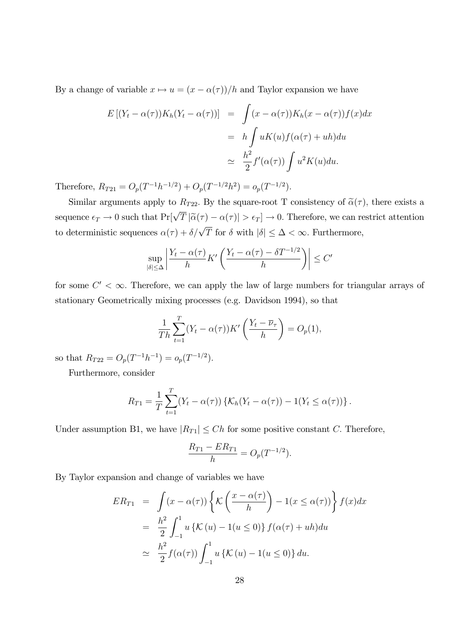By a change of variable  $x \mapsto u = (x - \alpha(\tau))/h$  and Taylor expansion we have

$$
E\left[(Y_t - \alpha(\tau))K_h(Y_t - \alpha(\tau))\right] = \int (x - \alpha(\tau))K_h(x - \alpha(\tau))f(x)dx
$$
  

$$
= h \int uK(u)f(\alpha(\tau) + uh)du
$$
  

$$
\approx \frac{h^2}{2}f'(\alpha(\tau))\int u^2K(u)du.
$$

Therefore,  $R_{T21} = O_p(T^{-1}h^{-1/2}) + O_p(T^{-1/2}h^2) = o_p(T^{-1/2}).$ 

Similar arguments apply to  $R_{T22}$ . By the square-root T consistency of  $\tilde{\alpha}(\tau)$ , there exists a sequence  $\epsilon_T \to 0$  such that  $Pr[\sqrt{T} |\tilde{\alpha}(\tau) - \alpha(\tau)| > \epsilon_T] \to 0$ . Therefore, we can restrict attention to deterministic sequences  $\alpha(\tau) + \delta/\sqrt{T}$  for  $\delta$  with  $|\delta| \leq \Delta < \infty$ . Furthermore,

$$
\sup_{|\delta| \le \Delta} \left| \frac{Y_t - \alpha(\tau)}{h} K' \left( \frac{Y_t - \alpha(\tau) - \delta T^{-1/2}}{h} \right) \right| \le C'
$$

for some  $C' < \infty$ . Therefore, we can apply the law of large numbers for triangular arrays of stationary Geometrically mixing processes (e.g. Davidson 1994), so that

$$
\frac{1}{Th}\sum_{t=1}^{T}(Y_t - \alpha(\tau))K'\left(\frac{Y_t - \overline{\nu}_{\tau}}{h}\right) = O_p(1),
$$

so that  $R_{T22} = O_p(T^{-1}h^{-1}) = o_p(T^{-1/2}).$ 

Furthermore, consider

$$
R_{T1} = \frac{1}{T} \sum_{t=1}^{T} (Y_t - \alpha(\tau)) \{ \mathcal{K}_h(Y_t - \alpha(\tau)) - 1(Y_t \leq \alpha(\tau)) \}.
$$

Under assumption B1, we have  $|R_{T1}| \leq Ch$  for some positive constant C. Therefore,

$$
\frac{R_{T1} - ER_{T1}}{h} = O_p(T^{-1/2}).
$$

By Taylor expansion and change of variables we have

$$
ER_{T1} = \int (x - \alpha(\tau)) \left\{ K \left( \frac{x - \alpha(\tau)}{h} \right) - 1(x \le \alpha(\tau)) \right\} f(x) dx
$$
  

$$
= \frac{h^2}{2} \int_{-1}^{1} u \left\{ K (u) - 1 (u \le 0) \right\} f(\alpha(\tau) + uh) du
$$
  

$$
\approx \frac{h^2}{2} f(\alpha(\tau)) \int_{-1}^{1} u \left\{ K (u) - 1 (u \le 0) \right\} du.
$$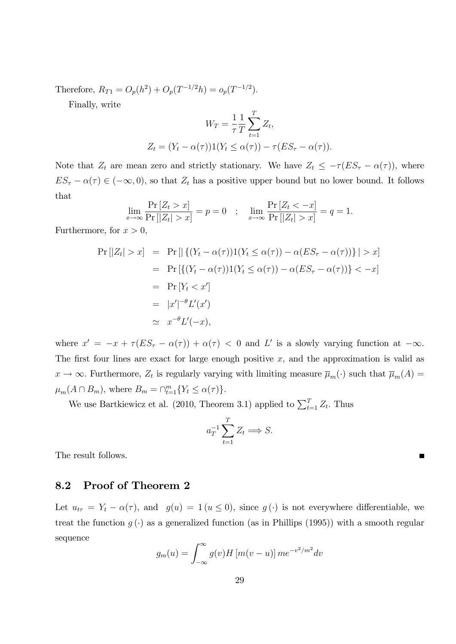Therefore,  $R_{T1} = O_p(h^2) + O_p(T^{-1/2}h) = o_p(T^{-1/2}).$ 

Finally, write

$$
W_T = \frac{1}{\tau} \sum_{t=1}^T Z_t,
$$
  
\n
$$
Z_t = (Y_t - \alpha(\tau))1(Y_t \le \alpha(\tau)) - \tau(ES_{\tau} - \alpha(\tau)).
$$

Note that  $Z_t$  are mean zero and strictly stationary. We have  $Z_t \leq -\tau (ES_{\tau} - \alpha(\tau))$ , where  $ES_{\tau} - \alpha(\tau) \in (-\infty, 0)$ , so that  $Z_t$  has a positive upper bound but no lower bound. It follows that

$$
\lim_{x \to \infty} \frac{\Pr\left[Z_t > x\right]}{\Pr\left[|Z_t| > x\right]} = p = 0 \quad ; \quad \lim_{x \to \infty} \frac{\Pr\left[Z_t < -x\right]}{\Pr\left[|Z_t| > x\right]} = q = 1.
$$

Furthermore, for  $x > 0$ ,

$$
\Pr[|Z_t| > x] = \Pr[|\{(Y_t - \alpha(\tau))1(Y_t \le \alpha(\tau)) - \alpha(ES_\tau - \alpha(\tau))\}| > x]
$$
  
\n
$$
= \Pr[\{(Y_t - \alpha(\tau))1(Y_t \le \alpha(\tau)) - \alpha(ES_\tau - \alpha(\tau))\}| < -x]
$$
  
\n
$$
= \Pr[Y_t < x']
$$
  
\n
$$
= |x'|^{-\theta} L'(x')
$$
  
\n
$$
\approx x^{-\theta} L'(-x),
$$

where  $x' = -x + \tau (ES_{\tau} - \alpha(\tau)) + \alpha(\tau) < 0$  and L' is a slowly varying function at  $-\infty$ . The first four lines are exact for large enough positive  $x$ , and the approximation is valid as  $x \to \infty$ . Furthermore,  $Z_t$  is regularly varying with limiting measure  $\overline{\mu}_m(\cdot)$  such that  $\overline{\mu}_m(A)$  $\mu_m(A \cap B_m)$ , where  $B_m = \bigcap_{t=1}^m \{Y_t \leq \alpha(\tau)\}.$ 

We use Bartkiewicz et al. (2010, Theorem 3.1) applied to  $\sum_{t=1}^{T} Z_t$ . Thus

$$
a_T^{-1} \sum_{t=1}^T Z_t \Longrightarrow S.
$$

The result follows.

### 8.2 Proof of Theorem 2

Let  $u_{t\tau} = Y_t - \alpha(\tau)$ , and  $g(u) = 1 (u \le 0)$ , since  $g(\cdot)$  is not everywhere differentiable, we treat the function  $g(\cdot)$  as a generalized function (as in Phillips (1995)) with a smooth regular sequence

$$
g_m(u) = \int_{-\infty}^{\infty} g(v)H \left[ m(v-u) \right] m e^{-v^2/m^2} dv
$$

 $\blacksquare$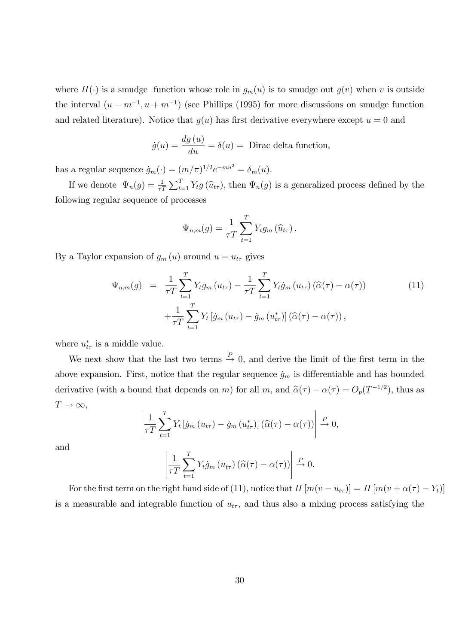where  $H(\cdot)$  is a smudge function whose role in  $g_m(u)$  is to smudge out  $g(v)$  when v is outside the interval  $(u - m^{-1}, u + m^{-1})$  (see Phillips (1995) for more discussions on smudge function and related literature). Notice that  $g(u)$  has first derivative everywhere except  $u = 0$  and

$$
\dot{g}(u) = \frac{dg(u)}{du} = \delta(u) = \text{Dirac delta function},
$$

has a regular sequence  $\dot{g}_m(\cdot) = (m/\pi)^{1/2} e^{-mu^2} = \delta_m(u)$ .

If we denote  $\Psi_n(g) = \frac{1}{\tau T} \sum_{t=1}^T Y_t g(\hat{u}_{t\tau})$ , then  $\Psi_n(g)$  is a generalized process defined by the following regular sequence of processes

$$
\Psi_{n,m}(g) = \frac{1}{\tau T} \sum_{t=1}^{T} Y_t g_m\left(\widehat{u}_{t\tau}\right).
$$

By a Taylor expansion of  $g_m(u)$  around  $u = u_{t\tau}$  gives

$$
\Psi_{n,m}(g) = \frac{1}{\tau T} \sum_{t=1}^{T} Y_t g_m(u_{t\tau}) - \frac{1}{\tau T} \sum_{t=1}^{T} Y_t \dot{g}_m(u_{t\tau}) (\hat{\alpha}(\tau) - \alpha(\tau))
$$
\n
$$
+ \frac{1}{\tau T} \sum_{t=1}^{T} Y_t \left[ \dot{g}_m(u_{t\tau}) - \dot{g}_m(u_{t\tau}^*) \right] (\hat{\alpha}(\tau) - \alpha(\tau)),
$$
\n(11)

where  $u_{t\tau}^*$  is a middle value.

We next show that the last two terms  $\stackrel{P}{\rightarrow} 0$ , and derive the limit of the first term in the above expansion. First, notice that the regular sequence  $\dot{g}_m$  is differentiable and has bounded derivative (with a bound that depends on m) for all m, and  $\hat{\alpha}(\tau) - \alpha(\tau) = O_p(T^{-1/2})$ , thus as  $T \to \infty$ ,

$$
\left|\frac{1}{\tau T}\sum_{t=1}^T Y_t \left[\dot{g}_m\left(u_{t\tau}\right) - \dot{g}_m\left(u_{t\tau}^*\right)\right]\left(\widehat{\alpha}(\tau) - \alpha(\tau)\right)\right| \stackrel{P}{\to} 0,
$$

and

$$
\left|\frac{1}{\tau T}\sum_{t=1}^T Y_t \dot{g}_m\left(u_{t\tau}\right)\left(\widehat{\alpha}(\tau)-\alpha(\tau)\right)\right| \stackrel{P}{\to} 0.
$$

For the first term on the right hand side of (11), notice that  $H [m(v - u_{tr})] = H [m(v + \alpha(\tau) - Y_t)]$ is a measurable and integrable function of  $u_{t\tau}$ , and thus also a mixing process satisfying the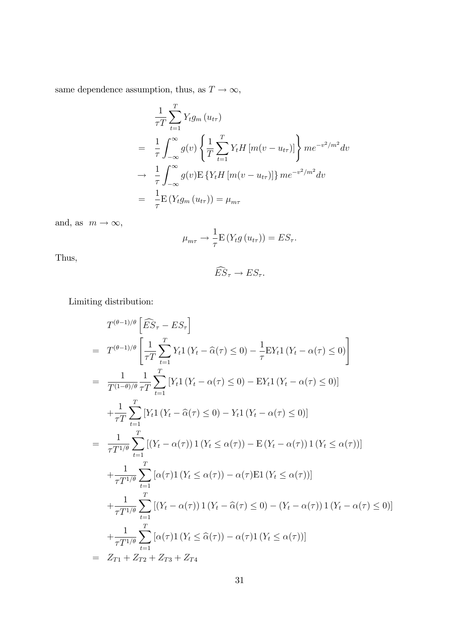same dependence assumption, thus, as  $T \rightarrow \infty,$ 

$$
\frac{1}{\tau T} \sum_{t=1}^{T} Y_t g_m (u_{t\tau})
$$
\n
$$
= \frac{1}{\tau} \int_{-\infty}^{\infty} g(v) \left\{ \frac{1}{T} \sum_{t=1}^{T} Y_t H [m(v - u_{t\tau})] \right\} m e^{-v^2/m^2} dv
$$
\n
$$
\to \frac{1}{\tau} \int_{-\infty}^{\infty} g(v) \mathbb{E} \left\{ Y_t H [m(v - u_{t\tau})] \right\} m e^{-v^2/m^2} dv
$$
\n
$$
= \frac{1}{\tau} \mathbb{E} \left( Y_t g_m (u_{t\tau}) \right) = \mu_{m\tau}
$$

and, as  $m \to \infty$ ,

$$
\mu_{m\tau} \to \frac{1}{\tau} \mathbb{E} \left( Y_t g \left( u_{t\tau} \right) \right) = ES_{\tau}.
$$

Thus,

$$
\widehat{ES}_{\tau} \to ES_{\tau}.
$$

Limiting distribution:

$$
T^{(\theta-1)/\theta} \left[ \widehat{ES}_{\tau} - ES_{\tau} \right]
$$
  
\n
$$
= T^{(\theta-1)/\theta} \left[ \frac{1}{\tau T} \sum_{t=1}^{T} Y_{t} 1 \left( Y_{t} - \widehat{\alpha}(\tau) \le 0 \right) - \frac{1}{\tau} E Y_{t} 1 \left( Y_{t} - \alpha(\tau) \le 0 \right) \right]
$$
  
\n
$$
= \frac{1}{T^{(1-\theta)/\theta}} \frac{1}{\tau T} \sum_{t=1}^{T} \left[ Y_{t} 1 \left( Y_{t} - \alpha(\tau) \le 0 \right) - E Y_{t} 1 \left( Y_{t} - \alpha(\tau) \le 0 \right) \right]
$$
  
\n
$$
+ \frac{1}{\tau T} \sum_{t=1}^{T} \left[ Y_{t} 1 \left( Y_{t} - \widehat{\alpha}(\tau) \le 0 \right) - Y_{t} 1 \left( Y_{t} - \alpha(\tau) \le 0 \right) \right]
$$
  
\n
$$
= \frac{1}{\tau T^{1/\theta}} \sum_{t=1}^{T} \left[ \left( Y_{t} - \alpha(\tau) \right) 1 \left( Y_{t} \le \alpha(\tau) \right) - E \left( Y_{t} - \alpha(\tau) \right) 1 \left( Y_{t} \le \alpha(\tau) \right) \right]
$$
  
\n
$$
+ \frac{1}{\tau T^{1/\theta}} \sum_{t=1}^{T} \left[ \alpha(\tau) 1 \left( Y_{t} \le \alpha(\tau) \right) - \alpha(\tau) E 1 \left( Y_{t} \le \alpha(\tau) \right) \right]
$$
  
\n
$$
+ \frac{1}{\tau T^{1/\theta}} \sum_{t=1}^{T} \left[ \left( Y_{t} - \alpha(\tau) \right) 1 \left( Y_{t} - \widehat{\alpha}(\tau) \le 0 \right) - \left( Y_{t} - \alpha(\tau) \right) 1 \left( Y_{t} - \alpha(\tau) \le 0 \right) \right]
$$
  
\n
$$
+ \frac{1}{\tau T^{1/\theta}} \sum_{t=1}^{T} \left[ \alpha(\tau) 1 \left( Y_{t} \le \widehat{\alpha}(\tau) \right) - \alpha(\tau) 1 \left( Y_{t} \le \alpha(\tau) \
$$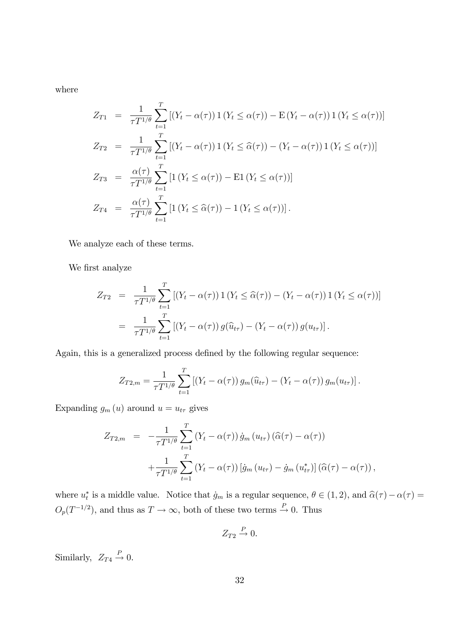where

$$
Z_{T1} = \frac{1}{\tau T^{1/\theta}} \sum_{t=1}^{T} \left[ (Y_t - \alpha(\tau)) \mathbf{1} (Y_t \le \alpha(\tau)) - \mathbf{E} (Y_t - \alpha(\tau)) \mathbf{1} (Y_t \le \alpha(\tau)) \right]
$$
  
\n
$$
Z_{T2} = \frac{1}{\tau T^{1/\theta}} \sum_{t=1}^{T} \left[ (Y_t - \alpha(\tau)) \mathbf{1} (Y_t \le \widehat{\alpha}(\tau)) - (Y_t - \alpha(\tau)) \mathbf{1} (Y_t \le \alpha(\tau)) \right]
$$
  
\n
$$
Z_{T3} = \frac{\alpha(\tau)}{\tau T^{1/\theta}} \sum_{t=1}^{T} \left[ \mathbf{1} (Y_t \le \alpha(\tau)) - \mathbf{E} \mathbf{1} (Y_t \le \alpha(\tau)) \right]
$$
  
\n
$$
Z_{T4} = \frac{\alpha(\tau)}{\tau T^{1/\theta}} \sum_{t=1}^{T} \left[ \mathbf{1} (Y_t \le \widehat{\alpha}(\tau)) - \mathbf{1} (Y_t \le \alpha(\tau)) \right].
$$

We analyze each of these terms.

We first analyze

$$
Z_{T2} = \frac{1}{\tau T^{1/\theta}} \sum_{t=1}^{T} [(Y_t - \alpha(\tau)) 1 (Y_t \leq \widehat{\alpha}(\tau)) - (Y_t - \alpha(\tau)) 1 (Y_t \leq \alpha(\tau))]
$$
  
= 
$$
\frac{1}{\tau T^{1/\theta}} \sum_{t=1}^{T} [(Y_t - \alpha(\tau)) g(\widehat{u}_{t\tau}) - (Y_t - \alpha(\tau)) g(u_{t\tau})].
$$

Again, this is a generalized process defined by the following regular sequence:

$$
Z_{T2,m} = \frac{1}{\tau T^{1/\theta}} \sum_{t=1}^{T} \left[ (Y_t - \alpha(\tau)) g_m(\widehat{u}_{t\tau}) - (Y_t - \alpha(\tau)) g_m(u_{t\tau}) \right].
$$

Expanding  $g_m(u)$  around  $u = u_{t\tau}$  gives

$$
Z_{T2,m} = -\frac{1}{\tau T^{1/\theta}} \sum_{t=1}^{T} (Y_t - \alpha(\tau)) \dot{g}_m(u_{t\tau}) (\hat{\alpha}(\tau) - \alpha(\tau))
$$

$$
+ \frac{1}{\tau T^{1/\theta}} \sum_{t=1}^{T} (Y_t - \alpha(\tau)) [\dot{g}_m(u_{t\tau}) - \dot{g}_m(u_{t\tau}^*)] (\hat{\alpha}(\tau) - \alpha(\tau)),
$$

where  $u_t^*$  is a middle value. Notice that  $\dot{g}_m$  is a regular sequence,  $\theta \in (1, 2)$ , and  $\hat{\alpha}(\tau) - \alpha(\tau) =$  $O_p(T^{-1/2})$ , and thus as  $T \to \infty$ , both of these two terms  $\stackrel{P}{\to} 0$ . Thus

$$
Z_{T2} \stackrel{P}{\rightarrow} 0.
$$

Similarly,  $Z_{T4} \stackrel{P}{\rightarrow} 0$ .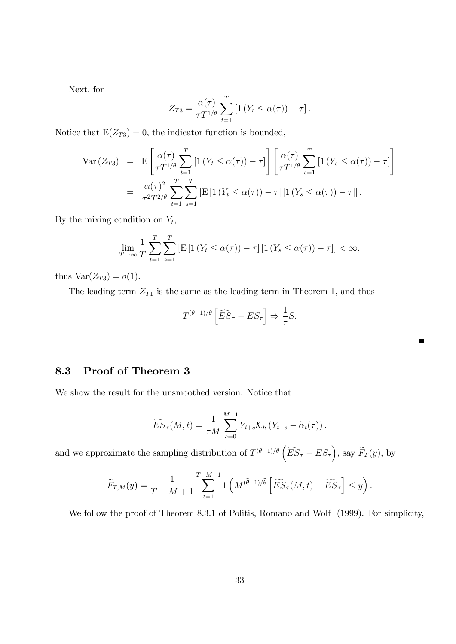Next, for

$$
Z_{T3} = \frac{\alpha(\tau)}{\tau T^{1/\theta}} \sum_{t=1}^{T} \left[ 1 \left( Y_t \leq \alpha(\tau) \right) - \tau \right].
$$

Notice that  $E(Z_{T3}) = 0$ , the indicator function is bounded,

$$
\begin{split} \text{Var}\left(Z_{T3}\right) &= \mathcal{E}\left[\frac{\alpha(\tau)}{\tau T^{1/\theta}} \sum_{t=1}^{T} \left[1\left(Y_t \leq \alpha(\tau)\right) - \tau\right]\right] \left[\frac{\alpha(\tau)}{\tau T^{1/\theta}} \sum_{s=1}^{T} \left[1\left(Y_s \leq \alpha(\tau)\right) - \tau\right]\right] \\ &= \frac{\alpha(\tau)^2}{\tau^2 T^{2/\theta}} \sum_{t=1}^{T} \sum_{s=1}^{T} \left[\mathcal{E}\left[1\left(Y_t \leq \alpha(\tau)\right) - \tau\right]\left[1\left(Y_s \leq \alpha(\tau)\right) - \tau\right]\right]. \end{split}
$$

By the mixing condition on  $Y_t$ ,

$$
\lim_{T \to \infty} \frac{1}{T} \sum_{t=1}^{T} \sum_{s=1}^{T} \left[ \mathbb{E} \left[ \mathbb{1} \left( Y_t \le \alpha(\tau) \right) - \tau \right] \left[ \mathbb{1} \left( Y_s \le \alpha(\tau) \right) - \tau \right] \right] < \infty,
$$

thus  $Var(Z_{T3}) = o(1)$ .

The leading term  $Z_{T1}$  is the same as the leading term in Theorem 1, and thus

$$
T^{(\theta-1)/\theta}\left[\widehat{ES}_{\tau}-ES_{\tau}\right] \Rightarrow \frac{1}{\tau}S.
$$

Е

### 8.3 Proof of Theorem 3

We show the result for the unsmoothed version. Notice that

$$
\widetilde{ES}_{\tau}(M,t) = \frac{1}{\tau M} \sum_{s=0}^{M-1} Y_{t+s} \mathcal{K}_h \left( Y_{t+s} - \widetilde{\alpha}_t(\tau) \right).
$$

and we approximate the sampling distribution of  $T^{(\theta-1)/\theta} \left( \widetilde{ES}_{\tau} - ES_{\tau} \right)$ , say  $\widetilde{F}_T(y)$ , by

$$
\widetilde{F}_{T,M}(y) = \frac{1}{T-M+1} \sum_{t=1}^{T-M+1} \mathbb{1}\left(M^{(\widehat{\theta}-1)/\widehat{\theta}}\left[\widetilde{ES}_{\tau}(M,t)-\widetilde{ES}_{\tau}\right] \leq y\right).
$$

We follow the proof of Theorem 8.3.1 of Politis, Romano and Wolf (1999). For simplicity,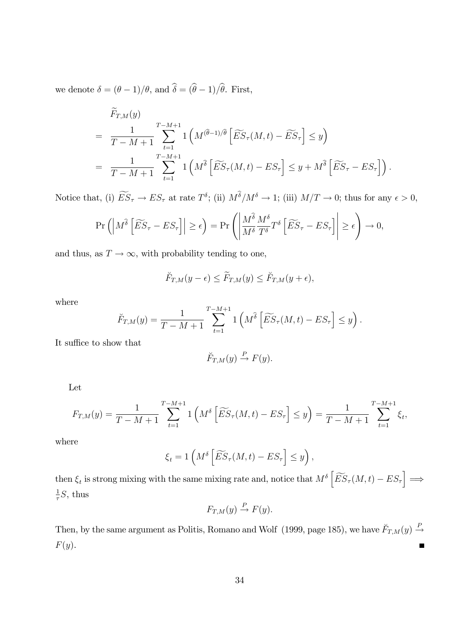we denote  $\delta = (\theta - 1)/\theta$ , and  $\hat{\delta} = (\hat{\theta} - 1)/\hat{\theta}$ . First,

$$
\overline{F}_{T,M}(y) = \frac{1}{T - M + 1} \sum_{t=1}^{T - M + 1} \mathbb{1} \left( M^{(\widehat{\theta} - 1)/\widehat{\theta}} \left[ \widetilde{ES}_{\tau}(M, t) - \widetilde{ES}_{\tau} \right] \le y \right)
$$
\n
$$
= \frac{1}{T - M + 1} \sum_{t=1}^{T - M + 1} \mathbb{1} \left( M^{\widehat{\theta}} \left[ \widetilde{ES}_{\tau}(M, t) - ES_{\tau} \right] \le y + M^{\widehat{\theta}} \left[ \widetilde{ES}_{\tau} - ES_{\tau} \right] \right).
$$

Notice that, (i)  $ES_{\tau} \to ES_{\tau}$  at rate  $T^{\delta}$ ; (ii)  $M^{\delta}/M^{\delta} \to 1$ ; (iii)  $M/T \to 0$ ; thus for any  $\epsilon > 0$ ,

$$
\Pr\left(\left|M^{\widehat{\delta}}\left[\widetilde{ES}_{\tau}-ES_{\tau}\right]\right|\geq\epsilon\right)=\Pr\left(\left|\frac{M^{\widehat{\delta}}}{M^{\delta}}\frac{M^{\delta}}{T^{\delta}}T^{\delta}\left[\widetilde{ES}_{\tau}-ES_{\tau}\right]\right|\geq\epsilon\right)\to 0,
$$

and thus, as  $T \to \infty$ , with probability tending to one,

$$
\breve{F}_{T,M}(y-\epsilon) \leq \widetilde{F}_{T,M}(y) \leq \breve{F}_{T,M}(y+\epsilon),
$$

where

$$
\widetilde{F}_{T,M}(y) = \frac{1}{T-M+1} \sum_{t=1}^{T-M+1} \mathbb{1}\left(M^{\widehat{\delta}}\left[\widetilde{ES}_{\tau}(M,t) - ES_{\tau}\right] \leq y\right).
$$

It suffice to show that

$$
\check{F}_{T,M}(y) \stackrel{P}{\to} F(y).
$$

Let

$$
F_{T,M}(y) = \frac{1}{T - M + 1} \sum_{t=1}^{T - M + 1} 1\left(M^{\delta}\left[\widetilde{ES}_{\tau}(M, t) - ES_{\tau}\right] \le y\right) = \frac{1}{T - M + 1} \sum_{t=1}^{T - M + 1} \xi_t,
$$

where

$$
\xi_t = 1\left(M^{\delta}\left[\widetilde{ES}_{\tau}(M,t) - ES_{\tau}\right] \le y\right),\,
$$

then  $\xi_t$  is strong mixing with the same mixing rate and, notice that  $M^{\delta} \left[ \widetilde{ES}_{\tau}(M,t) - ES_{\tau} \right] \Longrightarrow$ 1  $\frac{1}{\tau}S$ , thus

$$
F_{T,M}(y) \stackrel{P}{\to} F(y).
$$

Then, by the same argument as Politis, Romano and Wolf (1999, page 185), we have  $\ddot{F}_{T,M}(y) \stackrel{P}{\rightarrow}$  $F(y).$  $\blacksquare$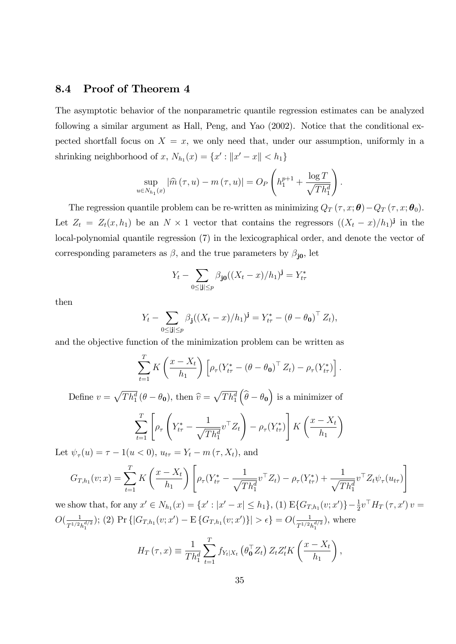### 8.4 Proof of Theorem 4

The asymptotic behavior of the nonparametric quantile regression estimates can be analyzed following a similar argument as Hall, Peng, and Yao (2002). Notice that the conditional expected shortfall focus on  $X = x$ , we only need that, under our assumption, uniformly in a shrinking neighborhood of x,  $N_{h_1}(x) = \{x' : ||x' - x|| < h_1\}$ 

$$
\sup_{u \in N_{h_1}(x)} |\widehat{m}(\tau, u) - m(\tau, u)| = O_P\left(h_1^{p+1} + \frac{\log T}{\sqrt{Th_1^d}}\right).
$$

The regression quantile problem can be re-written as minimizing  $Q_T(\tau, x; \theta) - Q_T(\tau, x; \theta_0)$ . Let  $Z_t = Z_t(x, h_1)$  be an  $N \times 1$  vector that contains the regressors  $((X_t - x)/h_1)^{\mathbf{j}}$  in the local-polynomial quantile regression (7) in the lexicographical order, and denote the vector of corresponding parameters as  $\beta$ , and the true parameters by  $\beta_{j0}$ , let

$$
Y_t - \sum_{0 \le |{\bf j}| \le p} \beta_{\bf j 0} ((X_t - x)/h_1)^{\bf j} = Y^*_{t\tau}
$$

then

$$
Y_t - \sum_{0 \leq |\mathbf{j}| \leq p} \beta_{\mathbf{j}}((X_t - x)/h_1)^{\mathbf{j}} = Y_{t\tau}^* - (\theta - \theta_0)^{\top} Z_t),
$$

and the objective function of the minimization problem can be written as

$$
\sum_{t=1}^T K\left(\frac{x-X_t}{h_1}\right) \left[\rho_\tau (Y_{t\tau}^* - (\theta - \theta_0)^\top Z_t) - \rho_\tau (Y_{t\tau}^*)\right].
$$

Define  $v = \sqrt{Th_1^d} (\theta - \theta_0)$ , then  $\hat{v} = \sqrt{Th_1^d}$  $(\widehat{\theta} - \theta_{0})$  is a minimizer of

$$
\sum_{t=1}^{T} \left[ \rho_{\tau} \left( Y_{t\tau}^{*} - \frac{1}{\sqrt{T h_{1}^{d}}} v^{\top} Z_{t} \right) - \rho_{\tau} (Y_{t\tau}^{*}) \right] K \left( \frac{x - X_{t}}{h_{1}} \right)
$$

Let  $\psi_{\tau}(u) = \tau - 1(u < 0), u_{t\tau} = Y_t - m(\tau, X_t)$ , and

$$
G_{T,h_1}(v;x) = \sum_{t=1}^T K\left(\frac{x - X_t}{h_1}\right) \left[ \rho_\tau (Y_{t\tau}^* - \frac{1}{\sqrt{Th_1^d}} v^\top Z_t) - \rho_\tau (Y_{t\tau}^*) + \frac{1}{\sqrt{Th_1^d}} v^\top Z_t \psi_\tau (u_{t\tau}) \right]
$$

we show that, for any  $x' \in N_{h_1}(x) = \{x' : |x' - x| \leq h_1\}$ , (1)  $E\{G_{T,h_1}(v;x')\} - \frac{1}{2}v^\top H_T(\tau,x')v =$  $O(\frac{1}{\pi^{1/2}})$  $\frac{1}{T^{1/2}h_1^{d/2}}$ ); (2) Pr { $|G_{T,h_1}(v;x') - \mathrm{E}\{G_{T,h_1}(v;x')\}| > \epsilon$ } =  $O(\frac{1}{T^{1/2}h_1^{d/2}})$  $\frac{1}{T^{1/2}h_1^{d/2}}$ , where

$$
H_T(\tau, x) \equiv \frac{1}{Th_1^d} \sum_{t=1}^T f_{Y_t|X_t} \left( \theta_0^\top Z_t \right) Z_t Z_t' K \left( \frac{x - X_t}{h_1} \right),
$$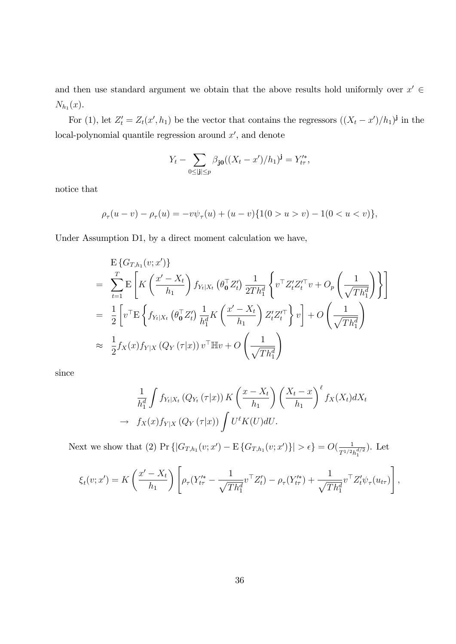and then use standard argument we obtain that the above results hold uniformly over  $x' \in$  $N_{h_1}(x)$ .

For (1), let  $Z'_t = Z_t(x', h_1)$  be the vector that contains the regressors  $((X_t - x')/h_1)^{\mathbf{j}}$  in the  $local$ -polynomial quantile regression around  $x'$ , and denote

$$
Y_t - \sum_{0 \le |\mathbf{j}| \le p} \beta_{\mathbf{j}0} ((X_t - x')/h_1)^{\mathbf{j}} = Y'^*_{t\tau},
$$

notice that

$$
\rho_{\tau}(u-v) - \rho_{\tau}(u) = -v\psi_{\tau}(u) + (u-v)\{1(0 > u > v) - 1(0 < u < v)\},\
$$

Under Assumption D1, by a direct moment calculation we have,

$$
E\left\{G_{T,h_1}(v;x')\right\}
$$
\n
$$
= \sum_{t=1}^T E\left[K\left(\frac{x'-X_t}{h_1}\right) f_{Y_t|X_t} \left(\theta_0^\top Z_t'\right) \frac{1}{2Th_1^d} \left\{v^\top Z_t' Z_t'^\top v + O_p\left(\frac{1}{\sqrt{Th_1^d}}\right) \right\}\right]
$$
\n
$$
= \frac{1}{2} \left[v^\top E\left\{f_{Y_t|X_t} \left(\theta_0^\top Z_t'\right) \frac{1}{h_1^d} K\left(\frac{x'-X_t}{h_1}\right) Z_t' Z_t'^\top\right\} v\right] + O\left(\frac{1}{\sqrt{Th_1^d}}\right)
$$
\n
$$
\approx \frac{1}{2} f_X(x) f_{Y|X} \left(Q_Y\left(\tau|x\right)\right) v^\top \mathbb{H} v + O\left(\frac{1}{\sqrt{Th_1^d}}\right)
$$

since

$$
\frac{1}{h_1^d} \int f_{Y_t|X_t} (Q_{Y_t}(\tau|x)) K\left(\frac{x - X_t}{h_1}\right) \left(\frac{X_t - x}{h_1}\right)^{\ell} f_X(X_t) dX_t
$$
  

$$
\to f_X(x) f_{Y|X} (Q_Y(\tau|x)) \int U^{\ell} K(U) dU.
$$

Next we show that (2) Pr  $\{ |G_{T,h_1}(v; x') - \mathbb{E}\{G_{T,h_1}(v; x')\}| > \epsilon \} = O(\frac{1}{T^{1/2})})$  $\frac{1}{T^{1/2}h_1^{d/2}}$ ). Let

$$
\xi_t(v; x') = K\left(\frac{x' - X_t}{h_1}\right) \left[ \rho_\tau (Y'^*_{t\tau} - \frac{1}{\sqrt{Th_1^d}} v^\top Z'_t) - \rho_\tau (Y'^*_{t\tau}) + \frac{1}{\sqrt{Th_1^d}} v^\top Z'_t \psi_\tau (u_{t\tau}) \right],
$$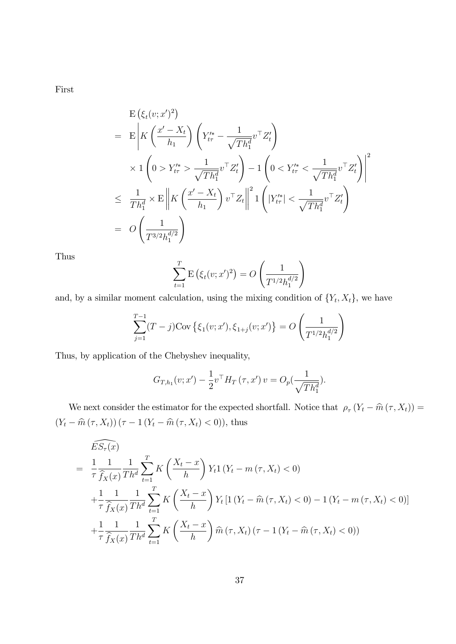First

$$
E (\xi_t(v; x')^2)
$$
  
=  $E \left| K \left( \frac{x' - X_t}{h_1} \right) \left( Y_{tr}^{\prime *} - \frac{1}{\sqrt{Th_1^d}} v^\top Z_t' \right) \right|$   
 $\times 1 \left( 0 > Y_{tr}^{\prime *} > \frac{1}{\sqrt{Th_1^d}} v^\top Z_t' \right) - 1 \left( 0 < Y_{tr}^{\prime *} < \frac{1}{\sqrt{Th_1^d}} v^\top Z_t' \right) \right|^2$   
 $\leq \frac{1}{Th_1^d} \times E \left\| K \left( \frac{x' - X_t}{h_1} \right) v^\top Z_t \right\|^2 1 \left( |Y_{tr}^{\prime *}| < \frac{1}{\sqrt{Th_1^d}} v^\top Z_t' \right)$   
=  $O \left( \frac{1}{T^{3/2} h_1^{d/2}} \right)$ 

Thus

$$
\sum_{t=1}^{T} \mathbf{E} (\xi_t(v; x')^2) = O\left(\frac{1}{T^{1/2} h_1^{d/2}}\right)
$$

and, by a similar moment calculation, using the mixing condition of  $\{Y_t, X_t\}$ , we have

$$
\sum_{j=1}^{T-1} (T-j) \text{Cov} \left\{ \xi_1(v; x'), \xi_{1+j}(v; x') \right\} = O \left( \frac{1}{T^{1/2} h_1^{d/2}} \right)
$$

Thus, by application of the Chebyshev inequality,

$$
G_{T,h_1}(v; x') - \frac{1}{2} v^\top H_T(\tau, x') v = O_p(\frac{1}{\sqrt{T h_1^d}}).
$$

We next consider the estimator for the expected shortfall. Notice that  $\rho_{\tau}(Y_t - \hat{m}(\tau, X_t)) =$  $(Y_{t} - \hat{m}(\tau, X_{t})) (\tau - 1 (Y_{t} - \hat{m}(\tau, X_{t}) < 0)),$  thus

$$
E S_{\tau}(x)
$$
\n
$$
= \frac{1}{\tau} \frac{1}{\hat{f}_X(x)} \frac{1}{Th^d} \sum_{t=1}^T K\left(\frac{X_t - x}{h}\right) Y_t 1 (Y_t - m(\tau, X_t) < 0)
$$
\n
$$
+ \frac{1}{\tau} \frac{1}{\hat{f}_X(x)} \frac{1}{Th^d} \sum_{t=1}^T K\left(\frac{X_t - x}{h}\right) Y_t [1 (Y_t - \hat{m}(\tau, X_t) < 0) - 1 (Y_t - m(\tau, X_t) < 0)]
$$
\n
$$
+ \frac{1}{\tau} \frac{1}{\hat{f}_X(x)} \frac{1}{Th^d} \sum_{t=1}^T K\left(\frac{X_t - x}{h}\right) \hat{m}(\tau, X_t) (\tau - 1 (Y_t - \hat{m}(\tau, X_t) < 0))
$$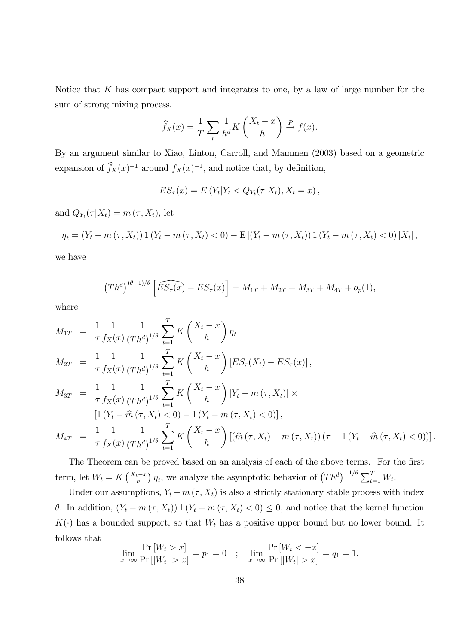Notice that K has compact support and integrates to one, by a law of large number for the sum of strong mixing process,

$$
\widehat{f}_X(x) = \frac{1}{T} \sum_t \frac{1}{h^d} K\left(\frac{X_t - x}{h}\right) \stackrel{P}{\to} f(x).
$$

By an argument similar to Xiao, Linton, Carroll, and Mammen (2003) based on a geometric expansion of  $f_X(x)^{-1}$  around  $f_X(x)^{-1}$ , and notice that, by definition,

$$
ES_{\tau}(x) = E(Y_t|Y_t \langle Q_{Y_t}(\tau|X_t), X_t = x),
$$

and  $Q_{Y_t}(\tau|X_t) = m(\tau, X_t)$ , let

$$
\eta_t = (Y_t - m(\tau, X_t)) 1 (Y_t - m(\tau, X_t) < 0) - \mathbb{E} [(Y_t - m(\tau, X_t)) 1 (Y_t - m(\tau, X_t) < 0) | X_t],
$$

we have

$$
(Th^d)^{(\theta-1)/\theta} \left[ \widehat{ES_{\tau}(x)} - ES_{\tau}(x) \right] = M_{1T} + M_{2T} + M_{3T} + M_{4T} + o_p(1),
$$

where

$$
M_{1T} = \frac{1}{\tau} \frac{1}{f_X(x)} \frac{1}{(Th^d)^{1/\theta}} \sum_{t=1}^T K\left(\frac{X_t - x}{h}\right) \eta_t
$$
  
\n
$$
M_{2T} = \frac{1}{\tau} \frac{1}{f_X(x)} \frac{1}{(Th^d)^{1/\theta}} \sum_{t=1}^T K\left(\frac{X_t - x}{h}\right) [ES_\tau(X_t) - ES_\tau(x)],
$$
  
\n
$$
M_{3T} = \frac{1}{\tau} \frac{1}{f_X(x)} \frac{1}{(Th^d)^{1/\theta}} \sum_{t=1}^T K\left(\frac{X_t - x}{h}\right) [Y_t - m(\tau, X_t)] \times
$$
  
\n
$$
[1 (Y_t - \hat{m}(\tau, X_t) < 0) - 1 (Y_t - m(\tau, X_t) < 0)],
$$
  
\n
$$
M_{4T} = \frac{1}{\tau} \frac{1}{f_X(x)} \frac{1}{(Th^d)^{1/\theta}} \sum_{t=1}^T K\left(\frac{X_t - x}{h}\right) [(\hat{m}(\tau, X_t) - m(\tau, X_t)) (\tau - 1 (Y_t - \hat{m}(\tau, X_t) < 0))].
$$

The Theorem can be proved based on an analysis of each of the above terms. For the first term, let  $W_t = K\left(\frac{X_t - x}{h}\right)\eta_t$ , we analyze the asymptotic behavior of  $\left(Th^d\right)^{-1/\theta} \sum_{t=1}^T W_t$ .

Under our assumptions,  $Y_t - m(\tau, X_t)$  is also a strictly stationary stable process with index  $\theta$ . In addition,  $(Y_t - m(\tau, X_t)) 1 (Y_t - m(\tau, X_t) < 0) \leq 0$ , and notice that the kernel function  $K(\cdot)$  has a bounded support, so that  $W_t$  has a positive upper bound but no lower bound. It follows that

$$
\lim_{x \to \infty} \frac{\Pr[W_t > x]}{\Pr[W_t > x]} = p_1 = 0 \quad ; \quad \lim_{x \to \infty} \frac{\Pr[W_t < -x]}{\Pr[W_t > x]} = q_1 = 1.
$$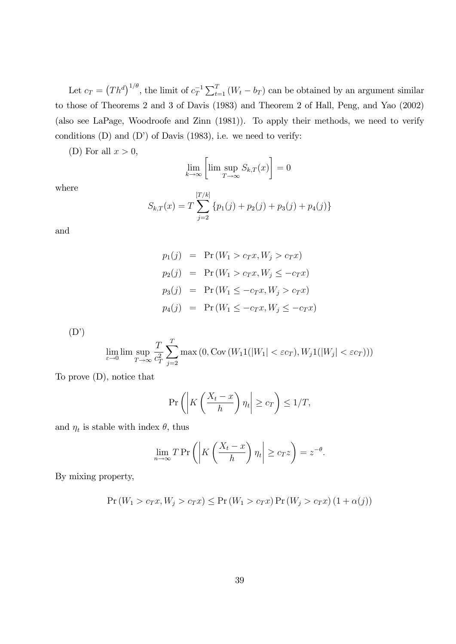Let  $c_T = (Th^d)^{1/\theta}$ , the limit of  $c_T^{-1} \sum_{t=1}^T (W_t - b_T)$  can be obtained by an argument similar to those of Theorems 2 and 3 of Davis (1983) and Theorem 2 of Hall, Peng, and Yao (2002) (also see LaPage, Woodroofe and Zinn (1981)). To apply their methods, we need to verify conditions  $(D)$  and  $(D')$  of Davis  $(1983)$ , i.e. we need to verify:

(D) For all  $x > 0$ ,

$$
\lim_{k \to \infty} \left[ \lim \sup_{T \to \infty} S_{k,T}(x) \right] = 0
$$

where

$$
S_{k,T}(x) = T \sum_{j=2}^{[T/k]} \{p_1(j) + p_2(j) + p_3(j) + p_4(j)\}
$$

and

$$
p_1(j) = Pr(W_1 > c_T x, W_j > c_T x)
$$
  
\n
$$
p_2(j) = Pr(W_1 > c_T x, W_j \le -c_T x)
$$
  
\n
$$
p_3(j) = Pr(W_1 \le -c_T x, W_j > c_T x)
$$
  
\n
$$
p_4(j) = Pr(W_1 \le -c_T x, W_j \le -c_T x)
$$

 $(D')$ 

$$
\lim_{\varepsilon \to 0} \lim \sup_{T \to \infty} \frac{T}{c_T^2} \sum_{j=2}^T \max(0, \text{Cov}(W_1 1(|W_1| < \varepsilon c_T), W_j 1(|W_j| < \varepsilon c_T)))
$$

To prove (D), notice that

$$
\Pr\left(\left|K\left(\frac{X_t - x}{h}\right)\eta_t\right| \ge c_T\right) \le 1/T,
$$

and  $\eta_t$  is stable with index  $\theta$ , thus

$$
\lim_{n \to \infty} T \Pr \left( \left| K \left( \frac{X_t - x}{h} \right) \eta_t \right| \ge c_T z \right) = z^{-\theta}.
$$

By mixing property,

$$
\Pr\left(W_1 > c_T x, W_j > c_T x\right) \le \Pr\left(W_1 > c_T x\right) \Pr\left(W_j > c_T x\right) \left(1 + \alpha(j)\right)
$$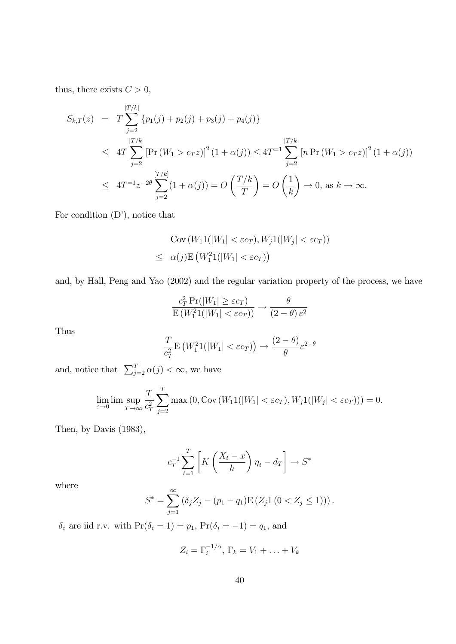thus, there exists  $C > 0$ ,

$$
S_{k,T}(z) = T \sum_{j=2}^{[T/k]} \{p_1(j) + p_2(j) + p_3(j) + p_4(j)\}
$$
  
\n
$$
\leq 4T \sum_{j=2}^{[T/k]} \left[ \Pr(W_1 > c_T z) \right]^2 (1 + \alpha(j)) \leq 4T^{-1} \sum_{j=2}^{[T/k]} \left[ n \Pr(W_1 > c_T z) \right]^2 (1 + \alpha(j))
$$
  
\n
$$
\leq 4T^{-1} z^{-2\theta} \sum_{j=2}^{[T/k]} (1 + \alpha(j)) = O\left(\frac{T/k}{T}\right) = O\left(\frac{1}{k}\right) \to 0, \text{ as } k \to \infty.
$$

For condition  $(D')$ , notice that

$$
Cov(W_11(|W_1| < \varepsilon c_T), W_j1(|W_j| < \varepsilon c_T))
$$
  

$$
\leq \alpha(j) E(W_1^21(|W_1| < \varepsilon c_T))
$$

and, by Hall, Peng and Yao (2002) and the regular variation property of the process, we have

$$
\frac{c_T^2 \Pr(|W_1| \ge \varepsilon c_T)}{\mathrm{E}(W_1^2 1(|W_1| < \varepsilon c_T))} \to \frac{\theta}{(2 - \theta) \varepsilon^2}
$$

Thus

$$
\frac{T}{c_T^2} \mathbf{E}\left(W_1^2 1(|W_1| < \varepsilon c_T)\right) \to \frac{(2-\theta)}{\theta} \varepsilon^{2-\theta}
$$

and, notice that  $\sum_{j=2}^{T} \alpha(j) < \infty$ , we have

$$
\lim_{\varepsilon \to 0} \lim \sup_{T \to \infty} \frac{T}{c_T^2} \sum_{j=2}^T \max(0, \text{Cov}(W_1 1(|W_1| < \varepsilon c_T), W_j 1(|W_j| < \varepsilon c_T))) = 0.
$$

Then, by Davis (1983),

$$
c_T^{-1} \sum_{t=1}^T \left[ K \left( \frac{X_t - x}{h} \right) \eta_t - d_T \right] \to S^*
$$

where

$$
S^* = \sum_{j=1}^{\infty} \left( \delta_j Z_j - (p_1 - q_1) \mathbb{E} \left( Z_j \mathbb{1} \left( 0 < Z_j \le 1 \right) \right) \right).
$$

 $\delta_i$  are iid r.v. with  $Pr(\delta_i = 1) = p_1$ ,  $Pr(\delta_i = -1) = q_1$ , and

$$
Z_i = \Gamma_i^{-1/\alpha}, \Gamma_k = V_1 + \ldots + V_k
$$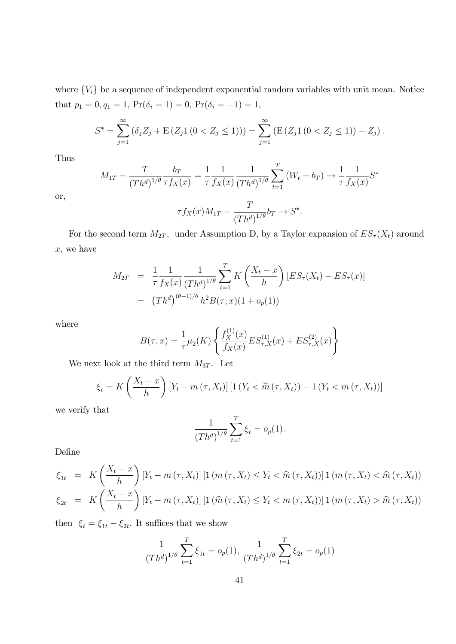where  ${V_i}$  be a sequence of independent exponential random variables with unit mean. Notice that  $p_1 = 0, q_1 = 1$ ,  $Pr(\delta_i = 1) = 0$ ,  $Pr(\delta_i = -1) = 1$ ,

$$
S^* = \sum_{j=1}^{\infty} \left( \delta_j Z_j + \mathbb{E} \left( Z_j \mathbb{1} \left( 0 < Z_j \le 1 \right) \right) \right) = \sum_{j=1}^{\infty} \left( \mathbb{E} \left( Z_j \mathbb{1} \left( 0 < Z_j \le 1 \right) \right) - Z_j \right).
$$

Thus

$$
M_{1T} - \frac{T}{(Th^d)^{1/\theta}} \frac{b_T}{\tau f_X(x)} = \frac{1}{\tau} \frac{1}{f_X(x)} \frac{1}{(Th^d)^{1/\theta}} \sum_{t=1}^T (W_t - b_T) \to \frac{1}{\tau} \frac{1}{f_X(x)} S^*
$$

or,

$$
\tau f_X(x)M_{1T} - \frac{T}{(Th^d)^{1/\theta}}b_T \to S^*.
$$

For the second term  $M_{2T}$ , under Assumption D, by a Taylor expansion of  $ES_{\tau}(X_t)$  around x, we have

$$
M_{2T} = \frac{1}{\tau} \frac{1}{f_X(x)} \frac{1}{(Th^d)^{1/\theta}} \sum_{t=1}^T K\left(\frac{X_t - x}{h}\right) [ES_\tau(X_t) - ES_\tau(x)]
$$
  
= 
$$
(Th^d)^{(\theta - 1)/\theta} h^2 B(\tau, x) (1 + o_p(1))
$$

where

$$
B(\tau, x) = \frac{1}{\tau} \mu_2(K) \left\{ \frac{f_X^{(1)}(x)}{f_X(x)} E S_{\tau, X}^{(1)}(x) + E S_{\tau, X}^{(2)}(x) \right\}
$$

We next look at the third term  $M_{3T}$ . Let

$$
\xi_t = K\left(\frac{X_t - x}{h}\right) \left[Y_t - m\left(\tau, X_t\right)\right] \left[1\left(Y_t < \widehat{m}\left(\tau, X_t\right)\right) - 1\left(Y_t < m\left(\tau, X_t\right)\right)\right]
$$

we verify that

$$
\frac{1}{(Th^d)^{1/\theta}} \sum_{t=1}^T \xi_t = o_p(1).
$$

Define

$$
\xi_{1t} = K\left(\frac{X_t - x}{h}\right) [Y_t - m(\tau, X_t)] [1(m(\tau, X_t) \le Y_t < \hat{m}(\tau, X_t))] 1(m(\tau, X_t) < \hat{m}(\tau, X_t))
$$
  
\n
$$
\xi_{2t} = K\left(\frac{X_t - x}{h}\right) [Y_t - m(\tau, X_t)] [1(\hat{m}(\tau, X_t) \le Y_t < m(\tau, X_t))] 1(m(\tau, X_t) > \hat{m}(\tau, X_t))
$$

then  $\xi_t = \xi_{1t} - \xi_{2t}$ . It suffices that we show

$$
\frac{1}{(Th^d)^{1/\theta}} \sum_{t=1}^T \xi_{1t} = o_p(1), \ \frac{1}{(Th^d)^{1/\theta}} \sum_{t=1}^T \xi_{2t} = o_p(1)
$$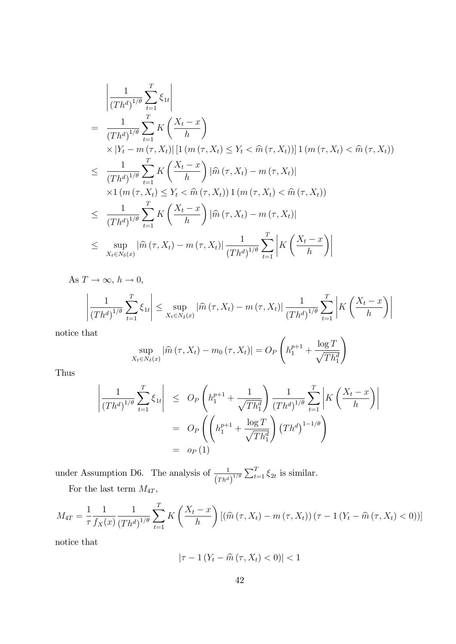$$
\begin{split}\n&= \frac{1}{(Th^d)^{1/\theta}} \sum_{t=1}^T \xi_{1t} \\
&= \frac{1}{(Th^d)^{1/\theta}} \sum_{t=1}^T K\left(\frac{X_t - x}{h}\right) \\
&\times |Y_t - m(\tau, X_t)| \left[1 \left(m(\tau, X_t) \le Y_t < \hat{m}(\tau, X_t)\right)\right] 1 \left(m(\tau, X_t) < \hat{m}(\tau, X_t)\right) \\
&\le \frac{1}{(Th^d)^{1/\theta}} \sum_{t=1}^T K\left(\frac{X_t - x}{h}\right) |\hat{m}(\tau, X_t) - m(\tau, X_t)| \\
&\times 1 \left(m(\tau, X_t) \le Y_t < \hat{m}(\tau, X_t)\right) 1 \left(m(\tau, X_t) < \hat{m}(\tau, X_t)\right) \\
&\le \frac{1}{(Th^d)^{1/\theta}} \sum_{t=1}^T K\left(\frac{X_t - x}{h}\right) |\hat{m}(\tau, X_t) - m(\tau, X_t)| \\
&\le \sup_{X_t \in N_{\delta}(x)} |\hat{m}(\tau, X_t) - m(\tau, X_t)| \frac{1}{(Th^d)^{1/\theta}} \sum_{t=1}^T \left|K\left(\frac{X_t - x}{h}\right)\right|\n\end{split}
$$

As 
$$
T \to \infty
$$
,  $h \to 0$ ,  
\n
$$
\left| \frac{1}{(Th^d)^{1/\theta}} \sum_{t=1}^T \xi_{1t} \right| \le \sup_{X_t \in N_\delta(x)} |\widehat{m}(\tau, X_t) - m(\tau, X_t)| \frac{1}{(Th^d)^{1/\theta}} \sum_{t=1}^T \left| K\left(\frac{X_t - x}{h}\right) \right|
$$
\nis a that

notice that

$$
\sup_{X_t \in N_\delta(x)} |\widehat{m}(\tau, X_t) - m_0(\tau, X_t)| = O_P\left(h_1^{p+1} + \frac{\log T}{\sqrt{T h_1^d}}\right)
$$

Thus

$$
\left| \frac{1}{(Th^d)^{1/\theta}} \sum_{t=1}^T \xi_{1t} \right| \le O_P\left(h_1^{p+1} + \frac{1}{\sqrt{Th_1^d}}\right) \frac{1}{(Th^d)^{1/\theta}} \sum_{t=1}^T \left| K\left(\frac{X_t - x}{h}\right) \right|
$$
  
=  $O_P\left(\left(h_1^{p+1} + \frac{\log T}{\sqrt{Th_1^d}}\right) (Th^d)^{1-1/\theta}\right)$   
=  $o_P(1)$ 

under Assumption D6. The analysis of  $\frac{1}{\sqrt{2}}$  $\frac{1}{(Th^d)^{1/\theta}} \sum_{t=1}^T \xi_{2t}$  is similar. For the last term  $M_{4T},$ 

$$
M_{4T} = \frac{1}{\tau} \frac{1}{f_X(x)} \frac{1}{(Th^d)^{1/\theta}} \sum_{t=1}^T K\left(\frac{X_t - x}{h}\right) \left[ \left(\widehat{m}(\tau, X_t) - m(\tau, X_t)\right) (\tau - 1 (Y_t - \widehat{m}(\tau, X_t) < 0))\right]
$$

notice that

$$
|\tau - 1\left(Y_t - \widehat{m}\left(\tau, X_t\right) < 0\right)| < 1
$$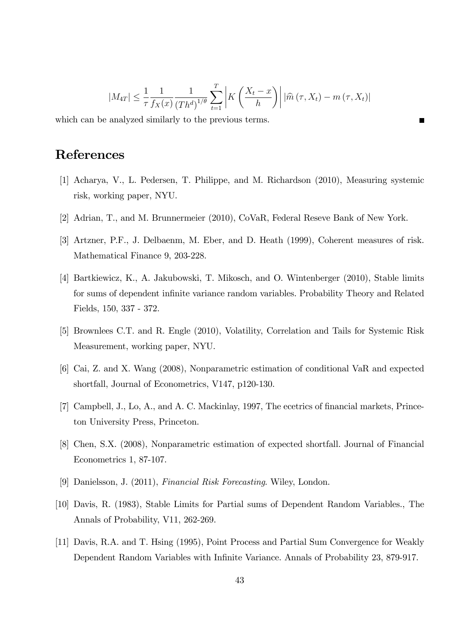$$
|M_{4T}| \leq \frac{1}{\tau} \frac{1}{f_X(x)} \frac{1}{(Th^d)^{1/\theta}} \sum_{t=1}^T \left| K\left(\frac{X_t - x}{h}\right) \right| |\widehat{m}(\tau, X_t) - m(\tau, X_t)|
$$

which can be analyzed similarly to the previous terms.

# References

- [1] Acharya, V., L. Pedersen, T. Philippe, and M. Richardson (2010), Measuring systemic risk, working paper, NYU.
- [2] Adrian, T., and M. Brunnermeier (2010), CoVaR, Federal Reseve Bank of New York.
- [3] Artzner, P.F., J. Delbaenm, M. Eber, and D. Heath (1999), Coherent measures of risk. Mathematical Finance 9, 203-228.
- [4] Bartkiewicz, K., A. Jakubowski, T. Mikosch, and O. Wintenberger (2010), Stable limits for sums of dependent infinite variance random variables. Probability Theory and Related Fields, 150, 337 - 372.
- [5] Brownlees C.T. and R. Engle (2010), Volatility, Correlation and Tails for Systemic Risk Measurement, working paper, NYU.
- [6] Cai, Z. and X. Wang (2008), Nonparametric estimation of conditional VaR and expected shortfall, Journal of Econometrics, V147, p120-130.
- [7] Campbell, J., Lo, A., and A. C. Mackinlay, 1997, The ecetrics of financial markets, Princeton University Press, Princeton.
- [8] Chen, S.X. (2008), Nonparametric estimation of expected shortfall. Journal of Financial Econometrics 1, 87-107.
- [9] Danielsson, J. (2011), Financial Risk Forecasting. Wiley, London.
- [10] Davis, R. (1983), Stable Limits for Partial sums of Dependent Random Variables., The Annals of Probability, V11, 262-269.
- [11] Davis, R.A. and T. Hsing (1995), Point Process and Partial Sum Convergence for Weakly Dependent Random Variables with Infinite Variance. Annals of Probability 23, 879-917.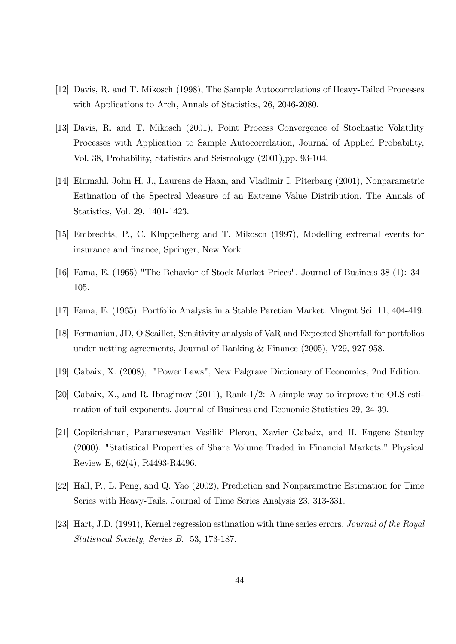- [12] Davis, R. and T. Mikosch (1998), The Sample Autocorrelations of Heavy-Tailed Processes with Applications to Arch, Annals of Statistics, 26, 2046-2080.
- [13] Davis, R. and T. Mikosch (2001), Point Process Convergence of Stochastic Volatility Processes with Application to Sample Autocorrelation, Journal of Applied Probability, Vol. 38, Probability, Statistics and Seismology (2001),pp. 93-104.
- [14] Einmahl, John H. J., Laurens de Haan, and Vladimir I. Piterbarg (2001), Nonparametric Estimation of the Spectral Measure of an Extreme Value Distribution. The Annals of Statistics, Vol. 29, 1401-1423.
- [15] Embrechts, P., C. Kluppelberg and T. Mikosch (1997), Modelling extremal events for insurance and finance, Springer, New York.
- [16] Fama, E. (1965) "The Behavior of Stock Market Prices". Journal of Business  $38(1)$ :  $34$ 105.
- [17] Fama, E. (1965). Portfolio Analysis in a Stable Paretian Market. Mngmt Sci. 11, 404-419.
- [18] Fermanian, JD, O Scaillet, Sensitivity analysis of VaR and Expected Shortfall for portfolios under netting agreements, Journal of Banking & Finance (2005), V29, 927-958.
- [19] Gabaix, X. (2008), "Power Laws", New Palgrave Dictionary of Economics, 2nd Edition.
- [20] Gabaix, X., and R. Ibragimov (2011), Rank-1/2: A simple way to improve the OLS estimation of tail exponents. Journal of Business and Economic Statistics 29, 24-39.
- [21] Gopikrishnan, Parameswaran Vasiliki Plerou, Xavier Gabaix, and H. Eugene Stanley (2000). "Statistical Properties of Share Volume Traded in Financial Markets." Physical Review E, 62(4), R4493-R4496.
- [22] Hall, P., L. Peng, and Q. Yao (2002), Prediction and Nonparametric Estimation for Time Series with Heavy-Tails. Journal of Time Series Analysis 23, 313-331.
- [23] Hart, J.D. (1991), Kernel regression estimation with time series errors. Journal of the Royal Statistical Society, Series B. 53, 173-187.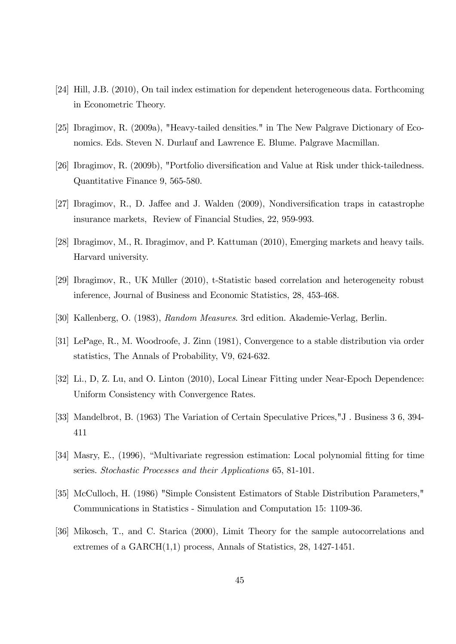- [24] Hill, J.B. (2010), On tail index estimation for dependent heterogeneous data. Forthcoming in Econometric Theory.
- [25] Ibragimov, R. (2009a), "Heavy-tailed densities." in The New Palgrave Dictionary of Economics. Eds. Steven N. Durlauf and Lawrence E. Blume. Palgrave Macmillan.
- [26] Ibragimov, R. (2009b), "Portfolio diversification and Value at Risk under thick-tailedness. Quantitative Finance 9, 565-580.
- [27] Ibragimov, R., D. Jaffee and J. Walden (2009), Nondiversification traps in catastrophe insurance markets, Review of Financial Studies, 22, 959-993.
- [28] Ibragimov, M., R. Ibragimov, and P. Kattuman (2010), Emerging markets and heavy tails. Harvard university.
- [29] Ibragimov, R., UK Müller (2010), t-Statistic based correlation and heterogeneity robust inference, Journal of Business and Economic Statistics, 28, 453-468.
- [30] Kallenberg, O. (1983), Random Measures. 3rd edition. Akademie-Verlag, Berlin.
- [31] LePage, R., M. Woodroofe, J. Zinn (1981), Convergence to a stable distribution via order statistics, The Annals of Probability, V9, 624-632.
- [32] Li., D, Z. Lu, and O. Linton (2010), Local Linear Fitting under Near-Epoch Dependence: Uniform Consistency with Convergence Rates.
- [33] Mandelbrot, B. (1963) The Variation of Certain Speculative Prices,"J . Business 3 6, 394- 411
- [34] Masry, E., (1996), "Multivariate regression estimation: Local polynomial fitting for time series. Stochastic Processes and their Applications 65, 81-101.
- [35] McCulloch, H. (1986) "Simple Consistent Estimators of Stable Distribution Parameters," Communications in Statistics - Simulation and Computation 15: 1109-36.
- [36] Mikosch, T., and C. Starica (2000), Limit Theory for the sample autocorrelations and extremes of a GARCH(1,1) process, Annals of Statistics, 28, 1427-1451.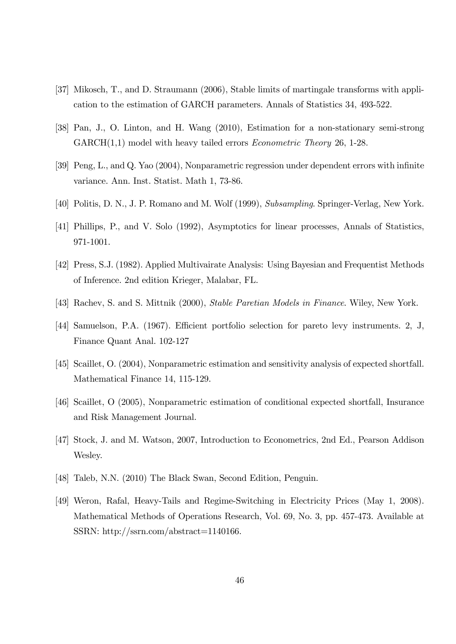- [37] Mikosch, T., and D. Straumann (2006), Stable limits of martingale transforms with application to the estimation of GARCH parameters. Annals of Statistics 34, 493-522.
- [38] Pan, J., O. Linton, and H. Wang (2010), Estimation for a non-stationary semi-strong  $GARCH(1,1)$  model with heavy tailed errors *Econometric Theory* 26, 1-28.
- [39] Peng, L., and Q. Yao (2004), Nonparametric regression under dependent errors with infinite variance. Ann. Inst. Statist. Math 1, 73-86.
- [40] Politis, D. N., J. P. Romano and M. Wolf (1999), Subsampling. Springer-Verlag, New York.
- [41] Phillips, P., and V. Solo (1992), Asymptotics for linear processes, Annals of Statistics, 971-1001.
- [42] Press, S.J. (1982). Applied Multivairate Analysis: Using Bayesian and Frequentist Methods of Inference. 2nd edition Krieger, Malabar, FL.
- [43] Rachev, S. and S. Mittnik (2000), *Stable Paretian Models in Finance*. Wiley, New York.
- [44] Samuelson, P.A. (1967). Efficient portfolio selection for pareto levy instruments. 2, J, Finance Quant Anal. 102-127
- [45] Scaillet, O. (2004), Nonparametric estimation and sensitivity analysis of expected shortfall. Mathematical Finance 14, 115-129.
- [46] Scaillet, O (2005), Nonparametric estimation of conditional expected shortfall, Insurance and Risk Management Journal.
- [47] Stock, J. and M. Watson, 2007, Introduction to Econometrics, 2nd Ed., Pearson Addison Wesley.
- [48] Taleb, N.N. (2010) The Black Swan, Second Edition, Penguin.
- [49] Weron, Rafal, Heavy-Tails and Regime-Switching in Electricity Prices (May 1, 2008). Mathematical Methods of Operations Research, Vol. 69, No. 3, pp. 457-473. Available at SSRN: http://ssrn.com/abstract=1140166.